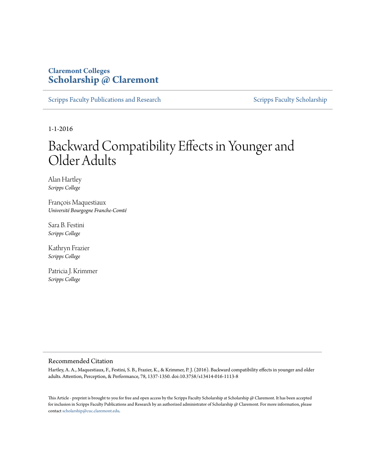# **Claremont Colleges [Scholarship @ Claremont](http://scholarship.claremont.edu)**

[Scripps Faculty Publications and Research](http://scholarship.claremont.edu/scripps_fac_pub) [Scripps Faculty Scholarship](http://scholarship.claremont.edu/scripps_faculty)

1-1-2016

# Backward Compatibility Effects in Younger and Older Adults

Alan Hartley *Scripps College*

François Maquestiaux *Université Bourgogne Franche-Comté*

Sara B. Festini *Scripps College*

Kathryn Frazier *Scripps College*

Patricia J. Krimmer *Scripps College*

#### Recommended Citation

Hartley, A. A., Maquestiaux, F., Festini, S. B., Frazier, K., & Krimmer, P. J. (2016). Backward compatibility effects in younger and older adults. Attention, Perception, & Performance, 78, 1337-1350. doi:10.3758/s13414-016-1113-8

This Article - preprint is brought to you for free and open access by the Scripps Faculty Scholarship at Scholarship @ Claremont. It has been accepted for inclusion in Scripps Faculty Publications and Research by an authorized administrator of Scholarship @ Claremont. For more information, please contact [scholarship@cuc.claremont.edu](mailto:scholarship@cuc.claremont.edu).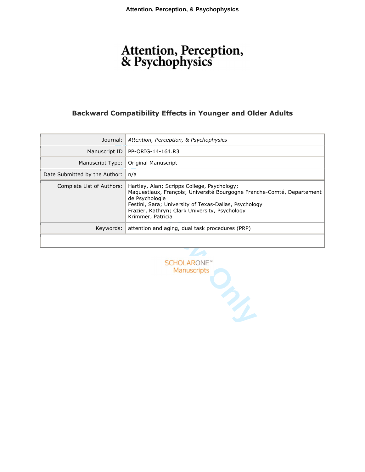# Attention, Perception,<br>& Psychophysics

# **Backward Compatibility Effects in Younger and Older Adults**

| Attention, Perception, & Psychophysics<br>PP-ORIG-14-164.R3<br>Original Manuscript<br>Hartley, Alan; Scripps College, Psychology;<br>Maquestiaux, François; Université Bourgogne Franche-Comté, Departement<br>de Psychologie<br>Festini, Sara; University of Texas-Dallas, Psychology<br>Frazier, Kathryn; Clark University, Psychology |
|------------------------------------------------------------------------------------------------------------------------------------------------------------------------------------------------------------------------------------------------------------------------------------------------------------------------------------------|
|                                                                                                                                                                                                                                                                                                                                          |
|                                                                                                                                                                                                                                                                                                                                          |
|                                                                                                                                                                                                                                                                                                                                          |
|                                                                                                                                                                                                                                                                                                                                          |
| Krimmer, Patricia                                                                                                                                                                                                                                                                                                                        |
| attention and aging, dual task procedures (PRP)                                                                                                                                                                                                                                                                                          |
|                                                                                                                                                                                                                                                                                                                                          |
|                                                                                                                                                                                                                                                                                                                                          |
| <b>SCHOLARONE™</b>                                                                                                                                                                                                                                                                                                                       |
| <b>Manuscripts</b><br>Ry                                                                                                                                                                                                                                                                                                                 |
|                                                                                                                                                                                                                                                                                                                                          |

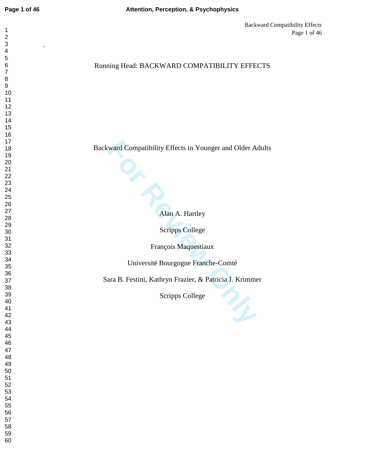$\mathbf{1}$  $\overline{2}$ 

`

Running Head: BACKWARD COMPATIBILITY EFFECTS

Backward Compatibility Effects in Younger and Older Adults

**For Review Only**<br>Rev<sub>er</sub> Alan A. Hartley

Scripps College

François Maquestiaux

Université Bourgogne Franche -Comté

Sara B. Festini, Kathryn Frazier, & Patricia J. Krimmer

Scripps College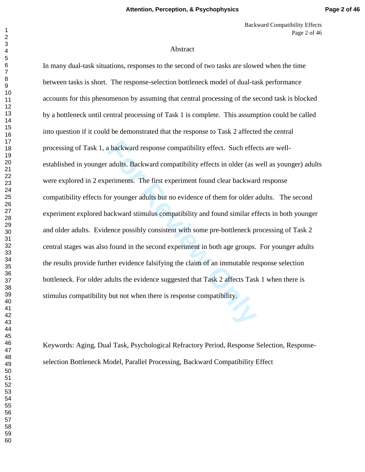Backward Compatibility Effects Page 2 of 46

# Abstract

a backward response compatibility effect. Such effect<br>adults. Backward compatibility effects in older (as v<br>beriments. The first experiment found clear backwar<br>or younger adults but no evidence of them for older a<br>ackward In many dual -task situations, responses to the second of two task s are slowed when the time between tasks is short. The response-selection bottleneck model of dual-task performance accounts for this phenomenon by assuming that central processing of the second task is blocked by a bottleneck until central processing of Task 1 is complete. This assumption could be called into question if it could be demonstrated that the response to Task 2 affected the central processing of Task 1, a backward response compatibility effect. Such effects are well established in younger adults. Backward compatibility effects in older (as well as younger) adults were explored in 2 experiments. The first experiment found clear backward response compatibility effects for younger adults but no evidence of them for older adults. The second experiment explored backward stimulus compatibility and found similar effects in both younger and older adults. Evidence possibly consistent with some pre -bottleneck processing of Task 2 central stages was also found in the second experiment in both age groups. For younger adults the results provide further evidence falsifying the claim of an immutable response selection bottleneck. For older adults the evidence suggested that Task 2 affects Task 1 when there is stimulus compatibility but not when there is response compatibility .

Keywords: Aging, Dual Task, Psychological Refractory Period, Response Selection, Response selection Bottleneck Model, Parallel Processing, Backward Compatibility Effect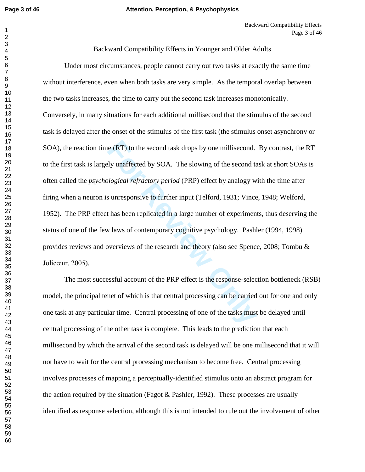#### **Page 3 of 46 Attention, Perception, & Psychophysics**

# Backward Compatibility Effects in Younger and Older Adults

if (RT) to the second task drops by one millisecond.<br> **Example 15 SOA.** The slowing of the second to<br> **Example 16 SOA.** The slowing of the second to<br> **Example 16 SOA.** The slowing of the second to<br> **Example 16 SON**<br> **Examp** Under most circumstances, people cannot carry out two tasks at exactly the same time without interference, even when both tasks are very simple. As the temporal overlap between the two tasks increases, the time to carry out the second task increases monotonically. Conversely, in many situations for each additional millisecond that the stimulus of the second task is delayed after the onset of the stimulus of the first task (the stimulus onset asynchrony or SOA), the reaction time (RT) to the second task drops by one millisecond. By contrast, the RT to the first task is largely unaffected by SOA. The slowing of the second task at short SOAs is often called the *psychological refractory period* (PRP) effect by analogy with the time after firing when a neuron is unresponsive to further input (Telford, 1931; Vince, 1948; Welford, 1952). The PRP effect has been replicated in a large number of experiments, thus deserving the status of one of the few laws of contemporary cognitive psychology. Pashler (1994, 1998) provides reviews and overviews of the research and theory (also see Spence, 2008; Tombu & Jolicœur, 2005).

The most successful account of the PRP effect is the response -selection bottleneck (RSB) model, the principal tenet of which is that central processing can be carried out for one and only one task at any particular time. Central processing of one of the tasks must be delayed until central processing of the other task is complete. This leads to the prediction that each millisecond by which the arrival of the second task is delayed will be one millisecond that it will not have to wait for the central processing mechanism to become free. Central processing involve s processes of mapping a perceptually -identified stimulus onto an abstract program for the action required by the situation (Fagot & Pashler, 1992). These processes are usually identified as response selection, although this is not intended to rule out the involvement of other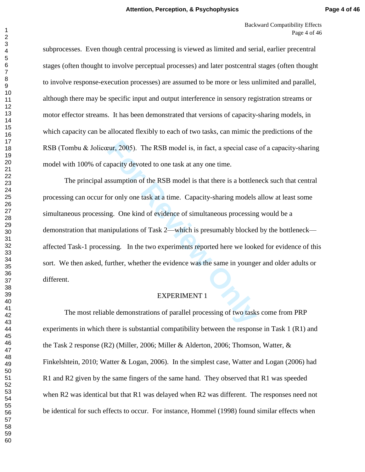Backward Compatibility Effects Page 4 of 46

subprocesses. Even though central processing is viewed as limited and serial, earlier precentral stages (often thought to involve perceptual processes ) and late r postcentral stages (often thought to involve response -execution processes ) are assumed to be more or less unlimited and parallel, although there may be specific input and output interference in sensory registration streams or motor effector streams. It has been demonstrated that versions of capacity -sharing models, in which capacity can be allocated flexibly to each of two tasks, can mimic the predictions of the RSB (Tombu & Jolicœur, 2005). The RSB model is, in fact, a special case of a capacity-sharing model with 100% of capacity devoted to one task at any one time.

For all the RSB model is, in fact, a special case<br>apacity devoted to one task at any one time.<br>Sumption of the RSB model is that there is a bottler<br>or only one task at a time. Capacity-sharing models<br>ng. One kind of eviden The principal assumption of the RSB model is that there is a bottleneck such that central processing can occur for only one task at a time. Capacity -sharing models allow at least some simultaneous processing. One kind of evidence of simultaneous processing would be a demonstration that manipulations of Task 2—which is presumably blocked by the bottleneck affected Task -1 processing. In the two experiments reported here we looked for evidence of this sort. We then asked, further, whether the evidence was the same in younger and older adults or different.

# EXPERIMENT 1

The most reliable demonstrations of parallel processing of two tasks come from PRP experiments in which there is substantial compatibility between the response in Task 1 (R1) and the Task 2 response (R2) (Miller, 2006; Miller & Alderton, 2006; Thomson, Watter, & Finkelshtein, 2010; Watter & Logan, 2006). In the simplest case, Watter and Logan (2006) had R1 and R2 given by the same fingers of the same hand. They observed that R1 was speeded when R2 was identical but that R1 was delayed when R2 was different . The responses need not be identical for such effects to occur. For instance, Hommel (1998) found similar effects when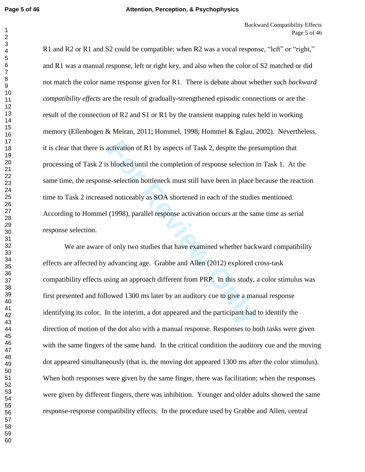#### **Page 5 of 46 Attention, Perception, & Psychophysics**

activation of R1 by aspects of Task 2, despite the pre<br> **EVALUATE:** Subcoked until the completion of response selection is<br> **EVALUATE:** Exercision bottleneck must still have been in place bed noticeably as SOA shortened in R1 and R2 or R1 and S2 could be compatible: when R2 was a vocal response, "left" or "right," and R1 was a manual response, left or right key, and also when the color of S2 matched or did not match the color name response given for R1. There is debate about whether such *backward compatibility effects* are the result of gradually -strengthened episodic connections or are the result of the connection of R2 and S1 or R1 by the transient mapping rules held in working memory (Ellenbogen & Meiran, 2011; Hommel, 1998; Hommel & Eglau, 2002). Nevertheless, it is clear that there is activation of R1 by aspects of Task 2, despite the presumption that processing of Task 2 is blocked until the completion of response selection in Task 1. At the same time, the response -selection bottleneck must still have been in place because the reaction time to Task 2 increased noticeably as SOA shortened in each of the studies mentioned. According to Hommel (1998), parallel response activation occur s at the same time as serial response selection.

We are aware of only two studies that have examined whether backward compatibility effects are affected by advancing age. Grabbe and Allen (2012) explore d cross -task compatibility effects using an approach different from PRP. In this study, a color stimulus was first presented and followed 1300 ms later by an auditory cue to give a manual response identifying its color. In the interim, a dot appeared and the participant had to identify the direction of motion of the dot also with a manual response. Responses to both tasks were given with the same fingers of the same hand. In the critical condition the auditory cue and the moving dot appeared simultaneously (that is, the moving dot appeared 1300 ms after the color stimulus). When both responses were given by the same finger, there was facilitation; when the responses were given by different fingers, there was inhibition. Younger and older adults showed the same response -response compatibility effects. In the procedure used by Grabbe and Allen, central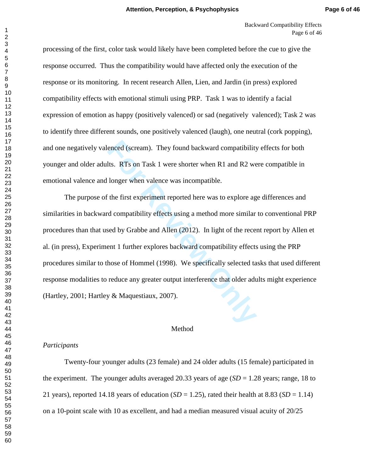Backward Compatibility Effects Page 6 of 46

processing of the first, color task would likely have been completed before the cue to give the response occurred. Thus the compatibility would have affected only the execution of the response or its monitoring. In recent research Allen, Lien, and Jardin (in press) explore d compatibility effects with emotional stimuli using PRP. Task 1 was to identify a facial expression of emotion as happy (positively valenced) or sad (negatively valenced); Task 2 was to identify three different sounds, one positively valenced (laugh), one neutral (cork popping), and one negatively valenced (scream). They found backward compatibility effects for both younger and older adults. RTs on Task 1 were shorter when R1 and R2 were compatible in emotional valence and longer when valence was incompatible.

enced (scream). They found backward compatibility<br>Its. RTs on Task 1 were shorter when R1 and R2 we<br>longer when valence was incompatible.<br>The first experiment reported here was to explore aged<br>ad compatibility effects usin The purpose of the first experiment reported here was to explore age differences and similarities in backward compatibility effects using a method more similar to conventional PRP procedures than that used by Grabbe and Allen (2012) . In light of the recent report by Allen et al. (in press), Experiment 1 further explores backward compatibility effects using the PRP procedures similar to those of Hommel (1998). We specifically selected tasks that used different response modalities to reduce any greater output interference that older adults might experience (Hartley, 2001; Hartley & Maquestiaux, 2007).

### Method

# *Participants*

Twenty -four younger adults (23 female) and 24 older adults (15 female) participated in the experiment. The younger adults averaged 20.33 years of age  $(SD = 1.28$  years; range, 18 to 21 years), reported 14.18 years of education  $(SD = 1.25)$ , rated their health at 8.83 ( $SD = 1.14$ ) on a 10 -point scale with 10 as excellent, and had a median measured visual acuity of 20/25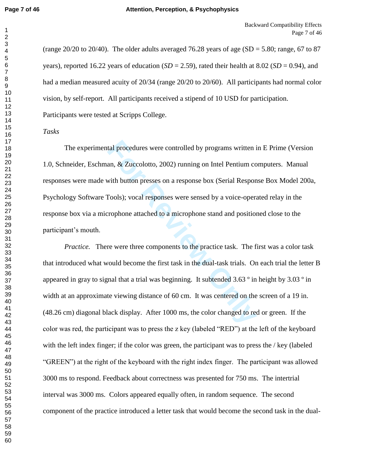#### **Page 7 of 46 Attention, Perception, & Psychophysics**

(range 20/20 to 20/40). The older adults averaged 76.28 years of age (SD = 5.80; range, 67 to 87 years), reported 16.22 years of education (*SD* = 2.59), rated their health at 8.02 (*SD* = 0.94), and had a median measured acuity of 20/34 (range 20/20 to 20/60). All participants had normal color vision, by self-report. All participants received a stipend of 10 USD for participation. Participants were tested at Scripps College.

### *Tasks*

tal procedures were controlled by programs written i<br>an, & Zuccolotto, 2002) running on Intel Pentium co<br>with button presses on a response box (Serial Respon<br>Fools); vocal responses were sensed by a voice-opera<br>prophone at The experimental procedures were controlled by programs written in E Prime (Version 1.0, Schneider, Eschman, & Zuccolotto, 2002) running on Intel Pentium computers. Manual responses were made with button presses on a response box (Serial Response Box Model 200a, Psychology Software Tools); vocal responses were sensed by a voice -operated relay in the response box via a microphone attached to a microphone stand and positioned close to the participant's mouth.

*Practice.* There were three components to the practice task. The first was a color task that introduced what would become the first task in the dual -task trials. On each trial the letter B appeared in gray to signal that a trial was beginning. It subtended  $3.63^\circ$  in height by  $3.03^\circ$  in width at an approximate viewing distance of 60 cm. It was centered on the screen of a 19 in. (48.26 cm) diagonal black display . After 1000 ms, the color changed to red or green. If the color was red, the participant was to press the z key (labeled "RED") at the left of the keyboard with the left index finger; if the color was green, the participant was to press the / key (labeled "GREEN") at the right of the keyboard with the right index finger. The participant was allowed 3000 ms to respond. Feedback about correctness was presented for 750 ms. The intertrial interval was 3000 ms. Colors appeared equally often, in random sequence. The second component of the practice introduced a letter task that would become the second task in the dual -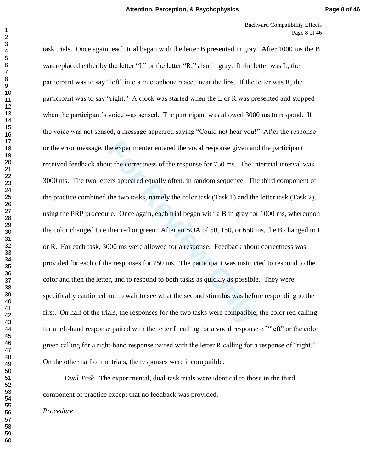Backward Compatibility Effects Page 8 of 46

the experimenter entered the vocal response given and<br>the correctness of the response for 750 ms. The ir<br>ers appeared equally often, in random sequence. The<br>the two tasks, namely the color task (Task 1) and the<br>re. Once ag task trials. Once again, each trial began with the letter B presented in gray. After 1000 ms the B was replaced either by the letter "L" or the letter "R, " also in gray. If the letter was L, the participant was to say "left" into a microphone placed near the lips. If the letter was R, the participant was to say "right." A clock was started when the L or R was presented and stopped when the participant's voice was sensed. The participant was allowed 3000 ms to respond. If the voice was not sensed, a message appeared saying "Could not hear you!" After the response or the error message, the experimenter entered the vocal response given and the participant received feedback about the correctness of the response for 750 ms. The intertrial interval was 3000 ms. The two letters appeared equally often, in random sequence. The third component of the practice combined the two tasks, namely the color task (Task 1) and the letter task (Task 2), using the PRP procedure. Once again, each trial began with a B in gray for 1000 ms, whereupon the color changed to either red or green. After an SOA of 50, 150, or 650 ms, the B changed to L or R. For each task, 3000 ms were allowed for a response. Feedback about correctness was provided for each of the responses for 750 ms. The participant was instructed to respond to the color and then the letter, and to respond to both tasks as quickly as possible. They were specifically cautioned not to wait to see what the second stimulus was before responding to the first. On half of the trials, the responses for the two tasks were compatible, the color red calling for a left -hand response paired with the letter L calling for a vocal response of "left" or the color green calling for a right -hand response paired with the letter R calling for a response of "right." On the other half of the trials, the responses were incompatible.

*Dual Task*. The experimental, dual -task trials were identical to those in the third component of practice except that no feedback was provided.

*Procedure*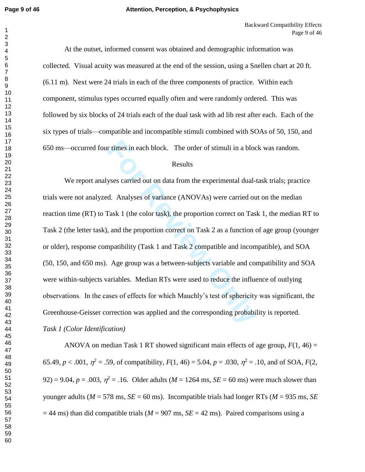#### **Page 9 of 46 Attention, Perception, & Psychophysics**

At the outset, informed consent was obtained and demographic information was collected. Visual acuity was measured at the end of the session, using a Snellen chart at 20 ft. (6.11 m). Next were 24 trials in each of the three components of practice. Within each component, stimulus types occurred equally often and were randomly ordered. This was followed by six blocks of 24 trials each of the dual task with ad lib rest after each. Each of the six types of trials —compatible and incompatible stimuli combined with SOAs of 50, 150, and 650 ms —occurred four times in each block. The order of stimuli in a block was random.

# Results

r times in each block. The order of stimuli in a block.<br>
Results<br>
Results<br>
Results<br>
Results<br>
Results<br>
Results<br>
Results<br>
Results<br>
Results<br>
Results<br>
Results<br>
Results<br>
Results<br>
Results<br>
Task 1 (the color task), the proportion We report analyses carried out on data from the experimental dual-task trials; practice trials were not analyzed. Analyses of variance (ANOVAs) were carried out on the median reaction time (RT) to Task 1 (the color task), the proportion correct on Task 1, the median RT to Task 2 (the letter tas k ), and the proportion correct on Task 2 as a function of age group (younger or older), response compatibility (Task 1 and Task 2 compatible and incompatible), and SOA (50, 150, and 650 ms). Age group was a between -subjects variable and compatibility and SOA were within-subjects variables. Median RTs were used to reduce the influence of outlying observations. In the cases of effects for which Mauchly's test of sphericity was significant, the Greenhouse -Geisser correction was applied and the corresponding probability is reported. *Task 1 (Color Identification )*

ANOVA on median Task 1 RT showed significant main effects of age group,  $F(1, 46) =$ 65.49,  $p < .001$ ,  $\eta^2 = .59$ , of compatibility,  $F(1, 46) = 5.04$ ,  $p = .030$ ,  $\eta^2 = .10$ , and of SOA,  $F(2, 49)$ 92) = 9.04,  $p = .003$ ,  $\eta^2 = .16$ . Older adults ( $M = 1264$  ms,  $SE = 60$  ms) were much slower than younger adults ( *M* = 578 ms, *SE* = 60 ms). Incompatible trials had longer RTs ( *M* = 935 ms, *SE*  $=$  44 ms) than did compatible trials ( $M = 907$  ms,  $SE = 42$  ms). Paired comparisons using a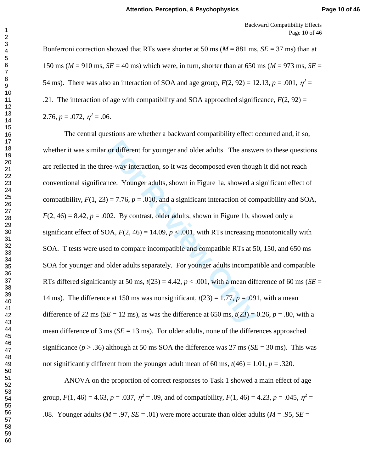Backward Compatibility Effects Page 10 of 46

Bonferroni correction showed that RTs were shorter at 50 ms ( $M = 881$  ms,  $SE = 37$  ms) than at 150 ms ( $M = 910$  ms,  $SE = 40$  ms) which were, in turn, shorter than at 650 ms ( $M = 973$  ms,  $SE =$ 54 ms). There was also an interaction of SOA and age group,  $F(2, 92) = 12.13$ ,  $p = .001$ ,  $\eta^2 =$ .21. The interaction of age with compatibility and SOA approached significance,  $F(2, 92) =$ 2.76,  $p = .072$ ,  $\eta^2 = .06$ .

or different for younger and older adults. The answere-way interaction, so it was decomposed even though<br>ace. Younger adults, shown in Figure 1a, showed a set and  $= 7.76$ ,  $p = .010$ , and a significant interaction of cors The central questions are whether a backward compatibility effect occurred and, if so, whether it was similar or different for younger and older adults. The answers to these questions are reflected in the three -way interaction, so it was decomposed even though it did not reach conventional significance. Younger adults, shown in Figure 1a , showed a significant effect of compatibility,  $F(1, 23) = 7.76$ ,  $p = .010$ , and a significant interaction of compatibility and SOA,  $F(2, 46) = 8.42$ ,  $p = .002$ . By contrast, older adults, shown in Figure 1b, showed only a significant effect of SOA,  $F(2, 46) = 14.09$ ,  $p < .001$ , with RTs increasing monotonically with SOA. T tests were used to compare incompatible and compatible RTs at 50, 150, and 650 ms SOA for younger and older adults separately. For younger adults incompatible and compatible RTs differed significantly at 50 ms,  $t(23) = 4.42$ ,  $p < .001$ , with a mean difference of 60 ms (*SE* = 14 ms). The difference at 150 ms was nonsignificant,  $t(23) = 1.77$ ,  $p = .091$ , with a mean difference of 22 ms ( $SE = 12$  ms), as was the difference at 650 ms,  $t(23) = 0.26$ ,  $p = .80$ , with a mean difference of 3 ms ( $SE = 13$  ms). For older adults, none of the differences approached significance ( $p > .36$ ) although at 50 ms SOA the difference was 27 ms ( $SE = 30$  ms). This was not significantly different from the younger adult mean of 60 ms,  $t(46) = 1.01$ ,  $p = .320$ .

ANOVA on the proportion of correct responses to Task 1 showed a main effect of age group,  $F(1, 46) = 4.63$ ,  $p = .037$ ,  $\eta^2 = .09$ , and of compatibility,  $F(1, 46) = 4.23$ ,  $p = .045$ ,  $\eta^2 =$ .08. Younger adults ( $M = .97$ ,  $SE = .01$ ) were more accurate than older adults ( $M = .95$ ,  $SE =$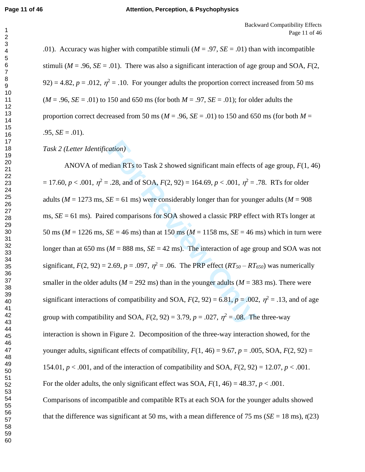.01). Accuracy was higher with compatible stimuli ( $M = .97$ ,  $SE = .01$ ) than with incompatible stimuli ( $M = .96$ ,  $SE = .01$ ). There was also a significant interaction of age group and SOA,  $F(2, 1)$ ) = 4.82,  $p = .012$ ,  $\eta^2 = .10$ . For younger adults the proportion correct increased from 50 ms  $(M = .96, SE = .01)$  to 150 and 650 ms (for both  $M = .97, SE = .01$ ); for older adults the proportion correct decreased from 50 ms ( $M = .96$ ,  $SE = .01$ ) to 150 and 650 ms (for both  $M =$  $.95, SE = .01$ ).

# *Task 2 (Letter Identification )*

extion)<br>
Example 18 and of SOA,  $F(2, 92) = 164.69$ ,  $p < .001$ ,  $\eta^2 = .8$ <br>
For Formular SOA,  $F(2, 92) = 164.69$ ,  $p < .001$ ,  $\eta^2 = .8$ <br>
For Formular SOA showed a classic PRP effect<br>
For Formular SOA showed a classic PRP effec ANOVA of median RTs to Task 2 showed significant main effects of age group, *F*(1, 46)  $= 17.60, p < .001, \eta^2 = .28$ , and of SOA,  $F(2, 92) = 164.69, p < .001, \eta^2 = .78$ . RTs for older adults ( $M = 1273$  ms,  $SE = 61$  ms) were considerably longer than for younger adults ( $M = 908$ ms, *SE* = 61 ms). Paired comparisons for SOA showed a classic PRP effect with RTs longer at 50 ms ( $M = 1226$  ms,  $SE = 46$  ms) than at 150 ms ( $M = 1158$  ms,  $SE = 46$  ms) which in turn were longer than at 650 ms ( $M = 888$  ms,  $SE = 42$  ms). The interaction of age group and SOA was not significant,  $F(2, 92) = 2.69$ ,  $p = .097$ ,  $\eta^2 = .06$ . The PRP effect  $(RT_{50} - RT_{650})$  was numerically smaller in the older adults ( $M = 292$  ms) than in the younger adults ( $M = 383$  ms). There were significant interactions of compatibility and SOA,  $F(2, 92) = 6.81$ ,  $p = .002$ ,  $\eta^2 = .13$ , and of age group with compatibility and SOA,  $F(2, 92) = 3.79$ ,  $p = .027$ ,  $\eta^2 = .08$ . The three-way interaction is shown in Figure 2. Decomposition of the three -way interaction showed, for the younger adults, significant effects of compatibility,  $F(1, 46) = 9.67$ ,  $p = .005$ , SOA,  $F(2, 92) =$ 154.01,  $p < .001$ , and of the interaction of compatibility and SOA,  $F(2, 92) = 12.07$ ,  $p < .001$ . For the older adults, the only significant effect was SOA,  $F(1, 46) = 48.37$ ,  $p < .001$ . Comparisons of incompatible and compatible RTs at each SOA for the younger adults showed that the difference was significant at 50 ms, with a mean difference of 75 ms ( $SE = 18$  ms),  $t(23)$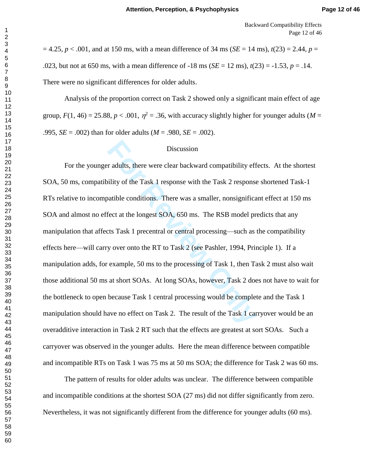Backward Compatibility Effects Page 12 of 46

 $= 4.25, p < .001$ , and at 150 ms, with a mean difference of 34 ms (*SE* = 14 ms),  $t(23) = 2.44, p =$ .023, but not at 650 ms, with a mean difference of  $-18 \text{ ms } (SE = 12 \text{ ms})$ ,  $t(23) = -1.53$ ,  $p = .14$ . There were no significant differences for older adults .

Analysis of the proportion correct on Task 2 showed only a significant main effect of age group,  $F(1, 46) = 25.88$ ,  $p < .001$ ,  $\eta^2 = .36$ , with accuracy slightly higher for younger adults (*M* = .995, *SE* = .002) than for older adults ( *M* = .980, *SE* = .002).

# Discussion

Discussion<br> **For Adults, there were clear backward compatibility eff**<br> **For Review Only Conditions.** There was a smaller, nonsignifical<br> **For Example Conditions.** There was a smaller, nonsignifical<br> **For Example SOA, 650** For the younger adults, there were clear backward compatibility effects. At the shortest SOA, 50 ms, compatibility of the Task 1 response with the Task 2 response shortened Task -1 RTs relative to incompatible conditions. There was a smaller, nonsignificant effect at 150 ms SOA and almost no effect at the longest SOA, 650 ms. The RSB model predicts that any manipulation that affects Task 1 precentral or central processing —such as the compatibility effects here —will carry over onto the RT to Task 2 (see Pashler, 1994, Principle 1). If a manipulation adds, for example, 50 ms to the processing of Task 1, then Task 2 must also wait those additional 50 ms at short SOAs. At long SOAs, however, Task 2 does not have to wait for the bottleneck to open because Task 1 central processing would be complete and the Task 1 manipulation should have no effect on Task 2. The result of the Task 1 carryover would be an overadditive interaction in Task 2 RT such that the effects are greatest at sort SOAs. Such a carryover was observed in the younger adults. Here the mean difference between compatible and incompatible RTs on Task 1 was 75 ms at 50 ms SOA; the difference for Task 2 was 60 ms.

The pattern of results for older adults was unclear. The difference between compatible and incompatible conditions at the shortest SOA (27 ms) did not differ significantly from zero . Nevertheless, it was not significantly different from the difference for younger adults (60 ms).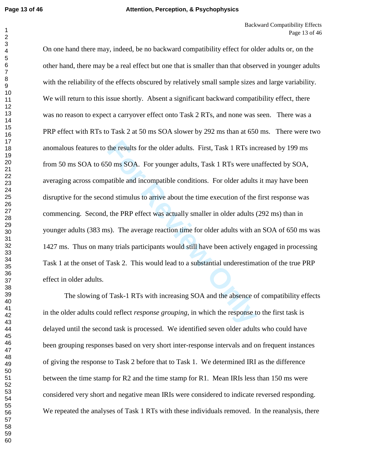#### **Page 13 of 46 Attention, Perception, & Psychophysics**

the results for the older adults. First, Task 1 RTs inc<br>
i0 ms SOA. For younger adults, Task 1 RTs were ure<br>
aatible and incompatible conditions. For older adults<br>
and stimulus to arrive about the time execution of the<br>
th On one hand there may, indeed, be no backward compatibility effect for older adults or, on the other hand, there may be a real effect but one that is smaller than that observed in younger adults with the reliability of the effects obscured by relatively small sample sizes and large variability. We will return to this issue shortly. Absent a significant backward compatibility effect, there was no reason to expect a carryover effect onto Task 2 RTs, and none was seen. There was a PRP effect with RTs to Task 2 at 50 ms SOA slower by 292 ms than at 650 ms. There were two anomalous features to the results for the older adults. First, Task 1 RTs increased by 199 ms from 50 ms SOA to 650 ms SOA. For younger adults, Task 1 RTs were unaffected by SOA, averaging across compatible and incompatible conditions. For older adults it may have been disruptive for the second stimulus to arrive about the time execution of the first response was commencing. Second, the PRP effect was actually smaller in older adults (292 ms) than in younger adults (383 ms). The average reaction time for older adults with an SOA of 650 ms was 1427 ms. Thus on many trials participants would still have been actively engaged in processing Task 1 at the onset of Task 2. This would lead to a substantial underestimation of the true PRP effect in older adults.

The slowing of Task -1 RTs with increasing SOA and the absence of compatibility effects in the older adults could reflect *response grouping*, in which the response to the first task is delayed until the second task is processed. We identified seven older adults who could have been grouping responses based on very short inter -response intervals and on frequent instances of giving the response to Task 2 before that to Task 1. We determined IRI as the difference between the time stamp for R2 and the time stamp for R1. Mean IRIs less than 150 ms were considered very short and negative mean IRIs were considered to indicate reversed responding. We repeated the analyses of Task 1 RTs with these individuals removed. In the reanalysis, there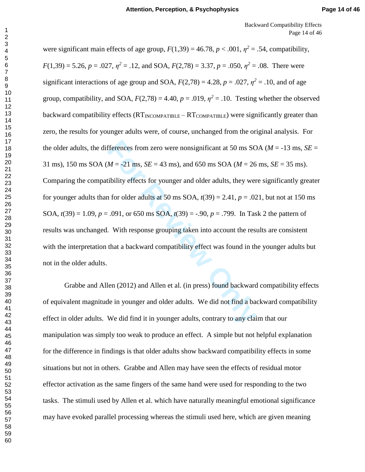fferences from zero were nonsignificant at 50 ms SC<br>  $M = -21$  ms,  $SE = 43$  ms), and 650 ms SOA ( $M = 26$ <br>
tibility effects for younger and older adults, they wer<br>
1 for older adults at 50 ms SOA,  $t(39) = 2.41$ ,  $p = .02$ <br>  $.09$ were significant main effects of age group,  $F(1,39) = 46.78$ ,  $p < .001$ ,  $\eta^2 = .54$ , compatibility,  $F(1,39) = 5.26$ ,  $p = .027$ ,  $\eta^2 = .12$ , and SOA,  $F(2,78) = 3.37$ ,  $p = .050$ ,  $\eta^2 = .08$ . There were significant interactions of age group and SOA,  $F(2,78) = 4.28$ ,  $p = .027$ ,  $\eta^2 = .10$ , and of age group, compatibility, and SOA,  $F(2,78) = 4.40$ ,  $p = .019$ ,  $\eta^2 = .10$ . Testing whether the observed backward compatibility effects  $(RT_{INCOMPATHILE} - RT_{COMPATHILE})$  were significantly greater than zero, the results for younger adults were, of course, unchanged from the original analysis. For the older adults, the differences from zero were nonsignificant at 50 ms SOA ( $M = -13$  ms,  $SE =$ 31 ms), 150 ms SOA ( $M = -21$  ms,  $SE = 43$  ms), and 650 ms SOA ( $M = 26$  ms,  $SE = 35$  ms). Comparing the compatibility effects for younger and older adults, they were significantly greater for younger adults than for older adults at 50 ms  $SOA$ ,  $t(39) = 2.41$ ,  $p = .021$ , but not at 150 ms SOA,  $t(39) = 1.09$ ,  $p = .091$ , or 650 ms SOA,  $t(39) = -.90$ ,  $p = .799$ . In Task 2 the pattern of results was unchanged. With response grouping taken into account the results are consistent with the interpretation that a backward compatibility effect was found in the younger adults but not in the older adults.

Grabbe and Allen (2012) and Allen et al. (in press) found backward compatibility effects of equivalent magnitude in younger and older adults. We did not find a backward compatibility effect in older adults. We did find it in younger adults, contrary to any claim that our manipulation was simply too weak to produce an effect. A simple but not helpful explanation for the difference in findings is that older adults show backward compatibility effects in some situations but not in others. Grabbe and Allen may have seen the effects of residual motor effector activation as the same fingers of the same hand were used for responding to the two tasks. The stimuli used by Allen et al. which have naturally meaningful emotional significance may have evoked parallel processing whereas the stimuli used here, which are given meaning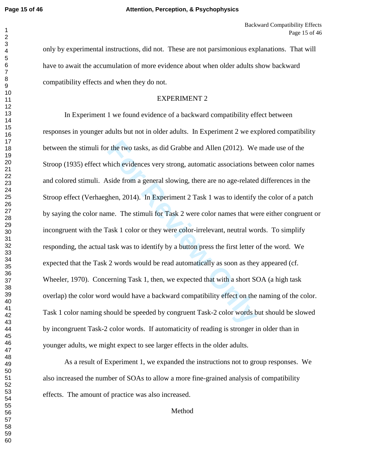#### **Page 15 of 46 Attention, Perception, & Psychophysics**

only by experimental instructions, did not. These are not parsimonious explanations. That will have to await the accumulation of more evidence about when older adults show backward compatibility effects and when they do not.

# EXPERIMENT 2

r the two tasks, as did Grabbe and Allen (2012). We<br>hich evidences very strong, automatic associations b<br>side from a general slowing, there are no age-related<br>then, 2014). In Experiment 2 Task 1 was to identify<br>me. The sti In Experiment 1 we found evidence of a backward compatibility effect between responses in younger adults but not in older adults. In Experiment 2 we explored compatibility between the stimuli for the two tasks, as did Grabbe and Allen (2012) . We made use of the Stroop (1935) effect which evidences very strong, automatic associations between color names and colored stimuli. Aside from a general slowing, there are no age -related differences in the Stroop effect (Verhaeghen, 2014). In Experiment 2 Task 1 was to identify the color of a patch by saying the color name. The stimuli for Task 2 were color names that were either congruent or incongruent with the Task 1 color or they were color -irrelevant, neutral words. To simplify responding, the actual task was to identify by a button press the first letter of the word. We expected that the Task 2 words would be read automatically as soon as they appeared (cf. Wheeler, 1970). Concerning Task 1, then, we expected that with a short SOA (a high task overlap) the color word would have a backward compatibility effect on the naming of the color. Task 1 color naming should be speeded by congruent Task -2 color words but should be slowed by incongruent Task - 2 color words. If automaticity of reading is stronger in older than in younger adults, we might expect to see larger effects in the older adults.

As a result of Experiment 1, we expanded the instructions not to group responses. We also increase d the number of SOAs to allow a more fine -grained analysis of compatibility effects. The amount of practice was also increased.

Method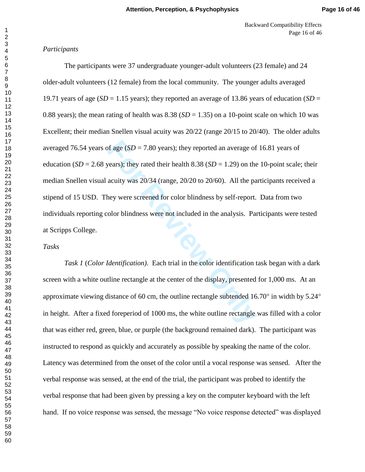Backward Compatibility Effects Page 16 of 46

# *Participants*

of age (*SD* = 7.80 years); they reported an average of<br>
years); they rated their health 8.38 (*SD* = 1.29) on the<br>
acuity was 20/34 (range, 20/20 to 20/60). All the pa<br>
ney were screened for color blindness by self-repor The participants were 3 7 undergraduate younger -adult volunteers (23 female) and 24 older -adult volunteers (12 female) from the local community. The younger adults averaged 19.71 years of age ( $SD = 1.15$  years); they reported an average of 13.86 years of education ( $SD = 1.15$ 0.88 years); the mean rating of health was  $8.38$  ( $SD = 1.35$ ) on a 10-point scale on which 10 was Excellent; their median Snellen visual acuity was 20/22 (range 20/15 to 20/40). The older adults averaged 76.54 years of age  $(SD = 7.80$  years); they reported an average of 16.81 years of education ( $SD = 2.68$  years); they rated their health 8.38 ( $SD = 1.29$ ) on the 10-point scale; their median Snellen visual acuity was 20/34 (range, 20/20 to 20/60). All the participants received a stipend of 15 USD. They were screened for color blindness by self -report. Data from two individuals reporting color blindness were not included in the analysis . Participants were tested at Scripps College.

# *Tasks*

*Task 1* (*Color Identification )*. Each trial in the color identification task began with a dark screen with a white outline rectangle at the center of the display, presented for 1,000 ms. At an approximate viewing distance of 60 cm, the outline rectangle subtended  $16.70^{\circ}$  in width by  $5.24^{\circ}$ in height. After a fixed foreperiod of 1000 ms, the white outline rectangle was filled with a color that was either red, green, blue, or purple (the background remained dark ). The participant was instructed to respond as quickly and accurately as possible by speaking the name of the color. Latency was determined from the onset of the color until a vocal response was sensed. After the verbal response was sensed, at the end of the trial, the participant was probed to identify the verbal response that had been given by pressing a key on the computer keyboard with the left hand. If no voice response was sensed, the message "No voice response detected" was displayed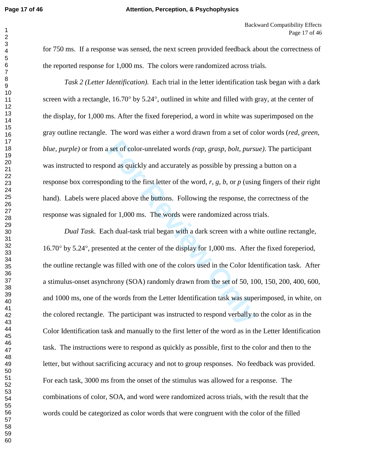#### **Page 17 of 46 Attention, Perception, & Psychophysics**

for 750 ms. If a response was sensed, the next screen provided feedback about the correctness of the reported response for 1,000 ms. The colors were randomized across trials.

Task 2 (Letter Identification). Each trial in the letter identification task began with a dark screen with a rectangle,  $16.70^{\circ}$  by  $5.24^{\circ}$ , outlined in white and filled with gray, at the center of the display , for 1,000 ms. After the fixed foreperiod, a word in white was superimposed on the gray outline rectangle. The word was either a word drawn from a set of color words (*red, green, blue, purple)* or from a set of color -unrelated words *(rap, grasp, bolt*, *pursue )*. The participant was instructed to respond as quickly and accurately as possible by pressing a button on a response box corresponding to the first letter of the word, *r, g, b,* or *p* (using fingers of their right hand). Labels were placed above the buttons. Following the response, the correctness of the response was signaled for 1,000 ms. The words were randomized across trials.

set of color-unrelated words (*rap, grasp, bolt, pursu*<br>and as quickly and accurately as possible by pressing<br>anding to the first letter of the word, *r, g, b,* or *p* (usin<br>aced above the buttons. Following the response, Dual Task. Each dual-task trial began with a dark screen with a white outline rectangle, 16.70 by 5.24 , presented at the center of the display for 1,000 ms. After the fixed foreperiod, the outline rectangle was filled with one of the colors used in the Color Identification task. After a stimulus -onset asynchrony (SOA) randomly drawn from the set of 50, 100, 150, 200, 400, 600, and 1000 ms, one of the words from the Letter Identification task was superimposed, in white, on the colored rectangle. The participant was instructed to respond verbally to the color as in the Color Identification task and manually to the first letter of the word as in the Letter Identification task. The instructions were to respond as quickly as possible, first to the color and then to the letter, but without sacrificing accuracy and not to group responses. No feedback was provided. For each task, 3000 ms from the onset of the stimulus was allowed for a response. The combinations of color, SOA, and word were randomized across trials, with the result that the words could be categorized as color words that were congruent with the color of the filled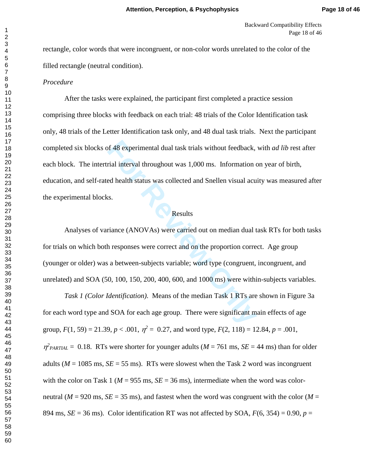Backward Compatibility Effects Page 18 of 46

rectangle, color words that were incongruent, or non -color words unrelated to the color of the filled rectangle (neutral condition) .

# *Procedure*

of 48 experimental dual task trials without feedback,<br>
Fial interval throughout was 1,000 ms. Information of<br>
ed health status was collected and Snellen visual acu<br>
S.<br> **Results**<br>
Fiance (ANOVAs) were carried out on media After the tasks were explained, the participant first completed a practice session comprising three blocks with feedback on each trial: 48 trials of the Color Identification task only, 48 trials of the Letter Identification task only, and 48 dual task trials. Next the participant completed six blocks of 48 experimental dual task trials without feedback, with *ad lib* rest after each block. The intertrial interval throughout was 1,000 ms. Information on year of birth, education, and self-rated health status was collected and Snellen visual acuity was measured after the experimental blocks.

# Results

Analyses of variance (ANOVAs) were carried out on median dual task RTs for both tasks for trials on which both responses were correct and on the proportion correct. Age group (younger or older) was a between -subjects variable; word type (congruent, incongruent, and unrelated) and SOA (50, 100, 150, 200, 400, 600, and 1000 ms) were within -subjects variables.

*Task 1 (Color Identification )*. Means of the median Task 1 RTs are shown in Figure 3 a for each word type and SOA for each age group. There were significant main effects of age group,  $F(1, 59) = 21.39$ ,  $p < .001$ ,  $\eta^2 = 0.27$ , and word type,  $F(2, 118) = 12.84$ ,  $p = .001$ ,  $\eta^2$  *PARTIAL* = 0.18. RTs were shorter for younger adults ( $M = 761$  ms,  $SE = 44$  ms) than for older adults ( $M = 1085$  ms,  $SE = 55$  ms). RTs were slowest when the Task 2 word was incongruent with the color on Task 1 ( $M = 955$  ms,  $SE = 36$  ms), intermediate when the word was colorneutral ( $M = 920$  ms,  $SE = 35$  ms), and fastest when the word was congruent with the color ( $M =$ 894 ms,  $SE = 36$  ms). Color identification RT was not affected by SOA,  $F(6, 354) = 0.90$ ,  $p =$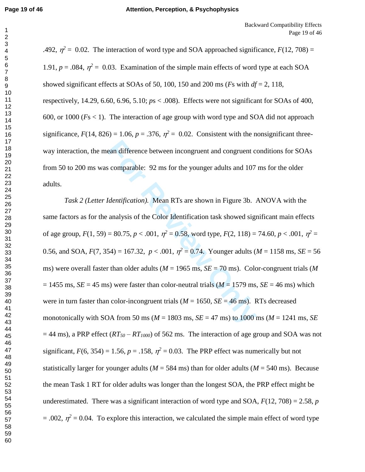.492,  $\eta^2 = 0.02$ . The interaction of word type and SOA approached significance,  $F(12, 708) =$ 1.91,  $p = .084$ ,  $\eta^2 = 0.03$ . Examination of the simple main effects of word type at each SOA showed significant effects at SOAs of 50, 100, 150 and 200 ms ( *F*s with *df* = 2, 118, respectively,  $14.29, 6.60, 6.96, 5.10; ps < .008$ ). Effects were not significant for SOAs of 400, 600, or ( $Fs < 1$ ). The interaction of age group with word type and SOA did not approach significance,  $F(14, 826) = 1.06$ ,  $p = .376$ ,  $\eta^2 = 0.02$ . Consistent with the nonsignificant threeway interaction, the mean difference between incongruent and congruent conditions for SOAs from 50 to 200 ms was comparable: 92 ms for the younger adults and 107 ms for the older adults.

ean difference between incongruent and congruent comparable: 92 ms for the younger adults and 107<br> *Hentification*). Mean RTs are shown in Figure 3b. *A*<br>
analysis of the Color Identification task showed sign<br>
= 80.75, *p* Task 2 (Letter Identification). Mean RTs are shown in Figure 3b. ANOVA with the same factors as for the analysis of the Color Identification task showed significant main effects of age group,  $F(1, 59) = 80.75$ ,  $p < .001$ ,  $\eta^2 = 0.58$ , word type,  $F(2, 118) = 74.60$ ,  $p < .001$ ,  $\eta^2 =$ 0.56, and SOA,  $F(7, 354) = 167.32$ ,  $p < .001$ ,  $\eta^2 = 0.74$ . Younger adults ( $M = 1158$  ms,  $SE = 56$ ms) were overall faster than older adults ( $M = 1965$  ms,  $SE = 70$  ms). Color-congruent trials ( $M$  $= 1455$  ms, *SE* = 45 ms) were faster than color-neutral trials ( $M = 1579$  ms, *SE* = 46 ms) which were in turn faster than color-incongruent trials ( $M = 1650$ ,  $SE = 46$  ms). RTs decreased monotonically with SOA from 50 ms ( $M = 1803$  ms,  $SE = 47$  ms) to 1000 ms ( $M = 1241$  ms,  $SE$  $=$  44 ms), a PRP effect ( $RT_{50} - RT_{1000}$ ) of 562 ms. The interaction of age group and SOA was not significant,  $F(6, 354) = 1.56$ ,  $p = .158$ ,  $\eta^2 = 0.03$ . The PRP effect was numerically but not statistically larger for younger adults ( $M = 584$  ms) than for older adults ( $M = 540$  ms). Because the mean Task 1 RT for older adults was longer than the longest SOA, the PRP effect might be underestimated. There was a significant interaction of word type and SOA,  $F(12, 708) = 2.58$ ,  $p$  $= .002$ ,  $\eta^2 = 0.04$ . To explore this interaction, we calculated the simple main effect of word type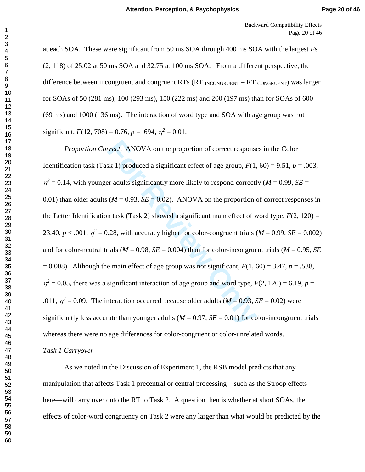Backward Compatibility Effects Page 20 of 46

at each SOA. These were significant from 50 ms SOA through 400 ms SOA with the largest *F*s (2, 118) of 25.02 at 50 ms SOA and 32.75 at 100 ms SOA. From a different perspective, the difference between incongruent and congruent RTs (RT  $_{NCONGRUENT}$  – RT  $_{CONGRUENT}$ ) was larger for SOAs of 50 (281 ms), 100 (293 ms), 150 (222 ms) and 200 (197 ms) than for SOAs of 600 (69 ms) and 1000 (136 ms). The interaction of word type and SOA with age group was not significant,  $F(12, 708) = 0.76$ ,  $p = .694$ ,  $\eta^2 = 0.01$ .

Freet. ANOVA on the proportion of correct response<br>sk 1) produced a significant effect of age group,  $F(1,$ <br>er adults significantly more likely to respond correct<br>( $M = 0.93$ ,  $SE = 0.02$ ). ANOVA on the proportion on<br>n task *Proportion Correct*. ANOVA on the proportion of correct responses in the Color Identification task (Task 1) produced a significant effect of age group,  $F(1, 60) = 9.51$ ,  $p = .003$ ,  $\eta^2 = 0.14$ , with younger adults significantly more likely to respond correctly (*M* = 0.99, *SE* = 0.01) than older adults ( $M = 0.93$ ,  $SE = 0.02$ ). ANOVA on the proportion of correct responses in the Letter Identification task (Task 2) showed a significant main effect of word type,  $F(2, 120) =$ 23.40,  $p < .001$ ,  $\eta^2 = 0.28$ , with accuracy higher for color-congruent trials ( $M = 0.99$ ,  $SE = 0.002$ ) and for color-neutral trials ( $M = 0.98$ ,  $SE = 0.004$ ) than for color-incongruent trials ( $M = 0.95$ ,  $SE$  $= 0.008$ ). Although the main effect of age group was not significant,  $F(1, 60) = 3.47$ ,  $p = .538$ ,  $\eta^2 = 0.05$ , there was a significant interaction of age group and word type,  $F(2, 120) = 6.19$ ,  $p =$ .011,  $\eta^2 = 0.09$ . The interaction occurred because older adults ( $M = 0.93$ ,  $SE = 0.02$ ) were significantly less accurate than younger adults ( $M = 0.97$ ,  $SE = 0.01$ ) for color-incongruent trials whereas there were no age differences for color-congruent or color-unrelated words.

#### *Task 1 Carryover*

As we noted in the Discussion of Experiment 1, the RSB model predicts that any manipulation that affects Task 1 precentral or central processing —such as the Stroop effects here—will carry over onto the RT to Task 2. A question then is whether at short SOAs, the effects of color -word congruency on Task 2 were any larger than what would be predicted by the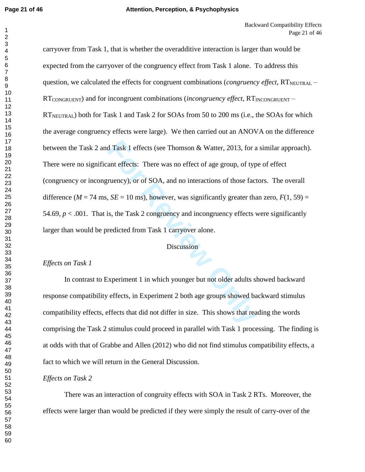#### **Page 21 of 46 Attention, Perception, & Psychophysics**

d Task 1 effects (see Thomson & Watter, 2013, for a ant effects: There was no effect of age group, of typ ruency), or of SOA, and no interactions of those fact size  $SE = 10$  ms), however, was significantly greater that is, carryover from Task 1, that is whether the overadditive interaction is larger than would be expected from the carryover of the congruency effect from Task 1 alone. To address this question, we calculated the effects for congruent combinations (*congruency effect*, RT<sub>NEUTRAL</sub> – RT<sub>CONGRUENT</sub>) and for incongruent combinations (*incongruency effect*, RT<sub>INCONGRUENT</sub> -RT<sub>NEUTRAL</sub>) both for Task 1 and Task 2 for SOAs from 50 to 200 ms (i.e., the SOAs for which the average congruency effects were large). We then carried out an ANOVA on the difference between the Task 2 and Task 1 effects (see Thomson & Watter, 2013, for a similar approach). There were no significant effects: There was no effect of age group, of type of effect (congruency or incongruency), or of SOA, and no interactions of those factors. The overall difference ( $M = 74$  ms,  $SE = 10$  ms), however, was significantly greater than zero,  $F(1, 59) =$ 54.69,  $p < .001$ . That is, the Task 2 congruency and incongruency effects were significantly larger than would be predicted from Task 1 carryover alone.

# **Discussion**

#### *Effects on Task 1*

In contrast to Experiment 1 in which younger but not older adults showed backward response compatibility effects, in Experiment 2 both age groups showed backward stimulus compatibility effects, effects that did not differ in size. This shows that reading the words comprising the Task 2 stimulus could proceed in parallel with Task 1 processing. The finding is at odds with that of Grabbe and Allen (2012) who did not find stimulus compatibility effects, a fact to which we will return in the General Discussion.

# *Effects on Task 2*

There was an interaction of congruity effects with SOA in Task 2 RTs. Moreover, the effects were larger than would be predicted if they were simply the result of carry-over of the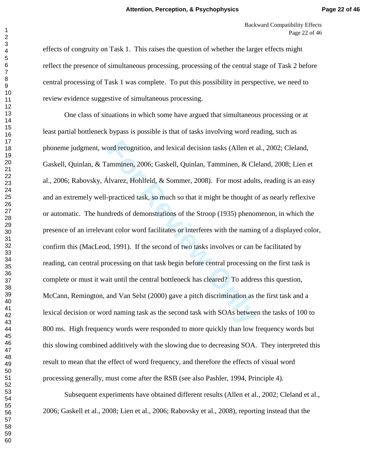Backward Compatibility Effects Page 22 of 46

effects of congruity on Task 1. This raises the question of whether the larger effects might reflect the presence of simultaneous processing, processing of the central stage of Task 2 before central processing of Task 1 was complete. To put this possibility in perspective, we need to review evidence suggestive of simultaneous processing.

ord recognition, and lexical decision tasks (Allen et a<br>amminen, 2006; Gaskell, Quinlan, Tamminen, & Cle<br>alvarez, Hohlfeld, & Sommer, 2008). For most adult<br>practiced task, so much so that it might be thought c<br>dreds of dem One class of situations in which some have argued that simultaneous processing or at least partial bottleneck bypass is possible is that of tasks involving word reading, such as phoneme judgment, word recognition, and lexical decision tasks (Allen et al., 2002; Cleland, Gaskell, Quinlan, & Tamminen, 2006; Gaskell, Quinlan, Tamminen, & Cleland, 2008; Lie n et al., 2006; Rabovsky, Álvarez, Hohlfeld, & Sommer, 2008). For most adults, reading is an easy and an extremely well -practiced task, so much so that it might be thought of as nearly reflexive or automatic. The hundreds of demonstrations of the Stroop (1935) phenomenon, in which the presence of an irrelevant color word facilitates or interferes with the naming of a displayed color, confirm this (MacLeod, 1991). If the second of two tasks involves or can be facilitated by reading, can central processing on that task begin before central processing on the first task is complete or must it wait until the central bottleneck has cleared? To address this question, McCann, Remington, and Van Selst (2000) gave a pitch discrimination as the first task and a lexical decision or word naming task as the second task with SOAs between the tasks of 100 to 800 ms. High frequency words were responded to more quickly than low frequency words but this slowing combined additively with the slowing due to decreasing SOA. They interpreted this result to mean that the effect of word frequency, and therefore the effects of visual word processing generally, must come after the RSB (see also Pashler, 1994, Principle 4).

Subsequent experiments have obtained different results (Allen et al. , 2002; Cleland et al., 2006; Gaskell et al., 2008; Lien et al., 2006; Rabovsky et al., 2008), reporting instead that the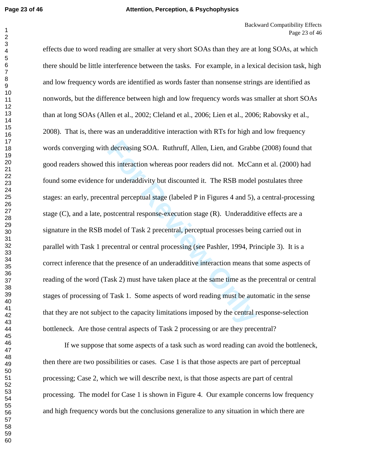#### **Page 23 of 46 Attention, Perception, & Psychophysics**

In decreasing SOA. Ruthruff, Allen, Lien, and Grabb<br>his interaction whereas poor readers did not. McCar<br>for underaddivity but discounted it. The RSB model<br>tral perceptual stage (labeled P in Figures 4 and 5),<br>ostcentral re effects due to word reading are smaller at very short SOAs than they are at long SOAs, at which there should be little interference between the tasks. For example, in a lexical decision task, high and low frequency words are identified as words faster than nonsense strings are identified as nonwords, but the difference between high and low frequency words was smaller at short SOAs than at long SOAs (Allen et al., 2002; Cleland et al., 2006; Lien et al., 2006; Rabovsky et al., 2008). That is, there was an underadditive interaction with RTs for high and low frequency words converging with decreasing SOA. Ruthruff, Allen, Lien, and Grabbe (2008) found that good readers showed this interaction whereas poor readers did not. McCann et al. (2000) had found some evidence for underaddivity but discounted it. The RSB model postulates three stages: an early, precentral perceptual stage (labeled P in Figures 4 and 5), a central -processing stage (C), and a late, postcentral response -execution stage (R). Underadditive effects are a signature in the RSB model of Task 2 precentral, perceptual processes being carried out in parallel with Task 1 precentral or central processing (see Pashler, 1994, Principle 3). It is a correct inference that the presence of an underadditive interaction means that some aspects of reading of the word (Task 2) must have taken place at the same time as the precentral or central stages of processing of Task 1. Some aspects of word reading must be automatic in the sense that they are not subject to the capacity limitations imposed by the central response -selection bottleneck. Are those central aspects of Task 2 processing or are they precentral?

If we suppose that some aspects of a task such as word reading can avoid the bottleneck, then there are two possibilities or cases. Case 1 is that those aspects are part of perceptual processing; Case 2 , which we will describe next , is that those aspects are part of central processing. The model for Case 1 is shown in Figure 4. Our example concerns low frequency and high frequency words but the conclusions generalize to any situation in which there are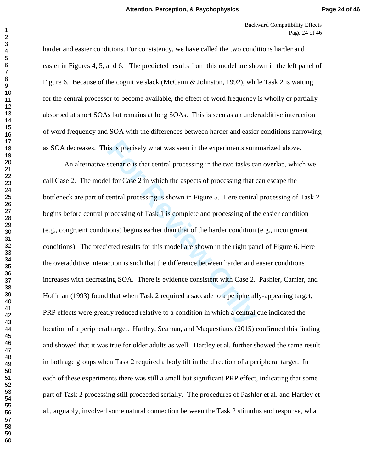Backward Compatibility Effects Page 24 of 46

harder and easier conditions. For consistency, we have called the two conditions harder and easier in Figures 4, 5, and 6. The predicted results from this model are shown in the left panel of Figure 6. Because of the cognitive slack (McCann & Johnston, 1992), while Task 2 is waiting for the central processor to become available, the effect of word frequency is wholly or partially absorbed at short SOAs but remains at long SOAs. This is seen as an underadditive interaction of word frequency and SOA with the differences between harder and easier conditions narrowing as SOA decreases. This is precisely what was seen in the experiments summarized above.

is is precisely what was seen in the experiments sum<br>scenario is that central processing in the two tasks ca<br>el for Case 2 in which the aspects of processing that c<br>entral processing is shown in Figure 5. Here central<br>roce An alternative scenario is that central processing in the two tasks can overlap, which we call Case 2. The model for Case 2 in which the aspects of processing that can escape the bottleneck are part of central processing is shown in Figure 5. Here central processing of Task 2 begins before central processing of Task 1 is complete and processing of the easier condition (e.g., congruent conditions) begins earlier than that of the harder condition (e.g., incongruent conditions). The predicted results for this model are shown in the right panel of Figure 6. Here the overadditive interaction is such that the difference between harder and easier conditions increases with decreasing SOA. There is evidence consistent with Case 2. Pashler, Carrier, and Hoffman (1993) found that when Task 2 required a saccade to a peripherally-appearing target, PRP effects were greatly reduced relative to a condition in which a central cue indicated the location of a peripheral target. Hartley, Seaman, and Maquestiaux (2015) confirmed this finding and showed that it was true for older adults as well. Hartley et al. further showed the same result in both age groups when Task 2 required a body tilt in the direction of a peripheral target. In each of these experiments there was still a small but significant PRP effect, indicating that some part of Task 2 processing still proceeded serially. The procedures of Pashler et al. and Hartley et al., arguably, involved some natural connection between the Task 2 stimulus and response, what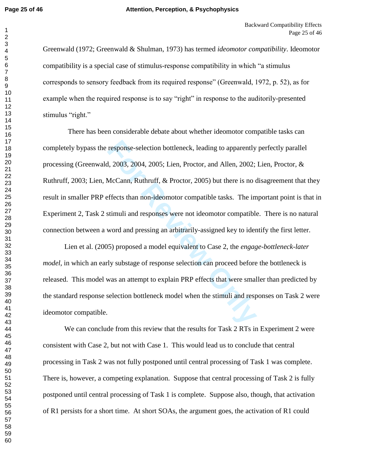#### **Page 25 of 46 Attention, Perception, & Psychophysics**

Greenwald (1972; Greenwald & Shulman, 1973) has termed *ideomotor compatibility* . Ideomotor compatibility is a special case of stimulus -response compatibility in which "a stimulus corresponds to sensory feedback from its required response" (Greenwald, 1972, p. 52), as for example when the required response is to say "right" in response to the auditorily-presented stimulus "right."

response-selection bottleneck, leading to apparently<br>1, 2003, 2004, 2005; Lien, Proctor, and Allen, 2002;<br>McCann, Ruthruff, & Proctor, 2005) but there is no c<br>ffects than non-ideomotor compatible tasks. The im<br>stimuli and There has been considerable debate about whether ideomotor compatible tasks can completely bypass the response -selection bottleneck, leading to apparently perfectly parallel processing (Greenwald, 2003, 2004, 2005; Lien, Proctor, and Allen, 2002; Lien, Proctor, & Ruthruff, 2003; Lien, McCann, Ruthruff, & Proctor, 2005) but there is no disagreement that they result in smaller PRP effects than non-ideomotor compatible tasks. The important point is that in Experiment 2, Task 2 stimuli and responses were not ideomotor compatible. There is no natural connection between a word and pressing an arbitrarily -assigned key to identify the first letter.

Lien et al. (2005) proposed a model equivalent to Case 2, the *engage-bottleneck-later model*, in which an early substage of response selection can proceed before the bottleneck is released. This model was an attempt to explain PRP effects that were smaller than predicted by the standard response selection bottleneck model when the stimuli and responses on Task 2 were ideomotor compatible.

We can conclude from this review that the results for Task 2 RTs in Experiment 2 were consistent with Case 2, but not with Case 1. This would lead us to conclude that central processing in Task 2 was not fully postponed until central processing of Task 1 was complete. There is, however, a competing explanation. Suppose that central processing of Task 2 is fully postponed until central processing of Task 1 is complete. Suppose also, though, that activation of R1 persists for a short time. At short SOAs, the argument goes, the activation of R1 could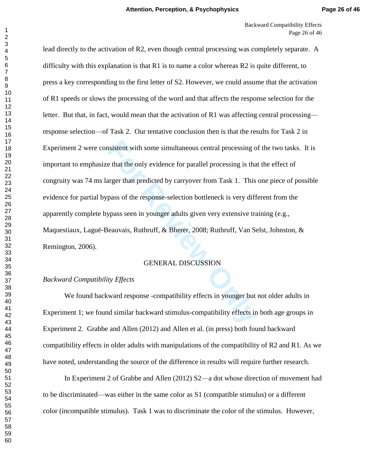Backward Compatibility Effects Page 26 of 46

Insistent with some simultaneous central processing of that the only evidence for parallel processing is that arger than predicted by carryover from Task 1. This pass of the response-selection bottleneck is very different lead directly to the activation of R2, even though central processing was completely separate. A difficulty with this explanation is that  $R1$  is to name a color whereas  $R2$  is quite different, to press a key corresponding to the first letter of S2. However, we could assume that the activation of R1 speeds or slows the processing of the word and that affects the response selection for the letter. But that, in fact, would mean that the activation of R1 was affecting central processing response selection —of Task 2. Our tentative conclusion then is that the results for Task 2 in Experiment 2 were consistent with some simultaneous central processing of the two tasks. It is important to emphasize that the only evidence for parallel processing is that the effect of congruity was 74 ms larger than predicted by carryover from Task 1. This one piece of possible evidence for partial bypass of the response -selection bottleneck is very different from the apparently complete bypass seen in younger adults given very extensive training (e.g., Maquestiaux, Laguë -Beauvais, Ruthruff, & Bherer, 2008; Ruthruff, Van Selst, Johnston, & Remington, 2006).

# GENERAL DISCUSSION

# *Backward Compatibility Effects*

We found backward response -compatibility effects in younger but not older adults in Experiment 1; we found similar backward stimulus -compatibility effects in both age groups in Experiment 2. Grabbe and Allen (2012) and Allen et al. (in press) both found backward compatibility effects in older adults with manipulations of the compatibility of R2 and R 1 . As we have noted, understanding the source of the difference in results will require further research.

In Experiment 2 of Grabbe and Allen (2012) S2 —a dot whose direction of movement had to be discriminated—was either in the same color as S1 (compatible stimulus) or a different color (incompatible stimulus ). Task 1 was to discriminate the color of the stimulus. However,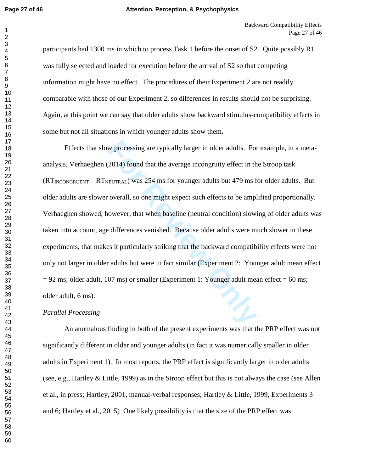#### **Page 27 of 46 Attention, Perception, & Psychophysics**

participants had 1300 ms in which to process Task 1 before the onset of S2. Quite possibly R1 was fully selected and loaded for execution before the arrival of S2 so that competing information might have no effect. The procedures of their Experiment 2 are not readily comparable with those of our Experiment 2, so differences in results should not be surprising. Again, at this point we can say that older adults show backward stimulus-compatibility effects in some but not all situations in which younger adults show them.

We processing are typically larger in older adults. For (2014) found that the average incongruity effect in the *EUTRAL*) was 254 ms for younger adults but 479 ms for overall, so one might expect such effects to be amplowe Effects that slow processing are typically larger in older adults. For example, in a meta analysis, Verhaeghen (2014) found that the average incongruity effect in the Stroop task  $(RT_{INCONGRUENT} - RT_{NEUTRAL})$  was 254 ms for younger adults but 479 ms for older adults. But older adults are slower overall, so one might expect such effects to be amplified proportionally. Verhaeghen showed, however, that when baseline (neutral condition ) slowing of older adults was taken into account, age differences vanished. Because older adults were much slower in these experiments, that makes it particularly striking that the backward compatibility effects were not only not larger in older adults but were in fact similar (Experiment 2: Younger adult mean effect  $= 92$  ms; older adult, 107 ms) or smaller (Experiment 1: Younger adult mean effect  $= 60$  ms; older adult, 6 ms).

# *Parallel Processing*

An anomalous finding in both of the present experiments was that the PRP effect was not significantly different in older and younger adults (in fact it was numerically smaller in older adults in Experiment 1). In most reports, the PRP effect is significantly larger in older adults (see, e.g., Hartley & Little, 1999) as in the Stroop effect but this is not always the case (see Allen et al., in press; Hartley, 2001, manual -verbal responses; Hartley & Little, 1999, Experiments 3 and 6; Hartley et al., 2015) One likely possibility is that the size of the PRP effect was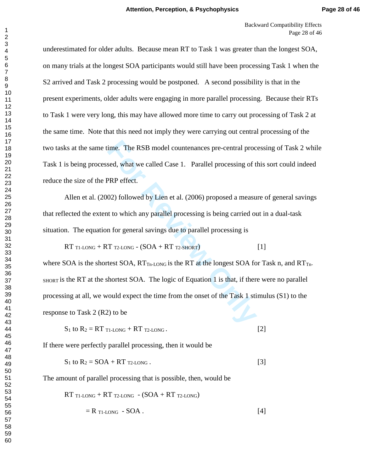Backward Compatibility Effects Page 28 of 46

underestimated for older adults. Because mean RT to Task 1 was greater than the longest SOA, on many trials at the longest SOA participants would still have been processing Task 1 when the S2 arrived and Task 2 processing would be postponed. A second possibility is that in the present experiments, older adults were engaging in more parallel processing. Because their RTs to Task 1 were very long, this may have allowed more time to carry out processing of Task 2 at the same time. Note that this need not imply they were carrying out central processing of the two tasks at the same time. The RSB model countenances pre -central processing of Task 2 while Task 1 is being processed, what we called Case 1. Parallel processing of this sort could indeed reduce the size of the PRP effect.

Allen et al. (2002) followed by Lien et al. (2006) proposed a measure of general savings that reflected the extent to which any parallel processing is being carried out in a dual -task situation. The equation for general savings due to parallel processing is<br> $RT T1-10NG + RT T2-10NG - (SOA + RT T2-SHORT)$ 

$$
RT_{T1\text{-LONG}} + RT_{T2\text{-LONG}} - (SOA + RT_{T2\text{-SHORT}})
$$
 [1]

ime. The RSB model countenances pre-central process<br>
sed, what we called Case 1. Parallel processing of t<br>
PRP effect.<br>
02) followed by Lien et al. (2006) proposed a measu<br>
t to which any parallel processing is being carri where SOA is the shortest SOA,  $RT_{Tn\text{-LONG}}$  is the RT at the longest SOA for Task n, and RT<sub>Tn</sub>. SHORT is the RT at the shortest SOA. The logic of Equation 1 is that, if there were no parallel processing at all, we would expect the time from the onset of the Task 1 stimulus (S1) to the response to Task 2 (R2) to be

$$
S_1 \text{ to } R_2 = RT \text{ T1-LONG} + RT \text{ T2-LONG}. \tag{2}
$$

If there were perfectly parallel processing, then it would be

$$
S_1 \text{ to } R_2 = \text{SOA} + \text{RT}_{\text{T2-LONG}} \,. \tag{3}
$$

The amount of parallel processing that is possible, then, would be

$$
RT_{T1\text{-LONG}} + RT_{T2\text{-LONG}} - (SOA + RT_{T2\text{-LONG}})
$$
  
= R\_{T1\text{-LONG}} - SOA. [4]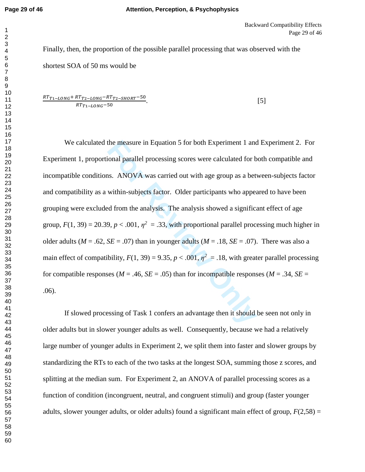#### **Page 29 of 46 Attention, Perception, & Psychophysics**

Finally, then, the proportion of the possible parallel processing that was observed with the shortest SOA of 50 ms would be

$$
\frac{RT_{T1-LONG} + RT_{T2-LONG} - RT_{T2-SHORT} - 50}{RT_{T1-LONG} - 50}.\tag{5}
$$

the measure in Equation 5 for both Experiment 1 and<br>
ional parallel processing scores were calculated for b<br>
is. ANOVA was carried out with age group as a bet<br>
within-subjects factor. Older participants who appear<br>
d from We calculated the measure in Equation 5 for both Experiment 1 and Experiment 2. For Experiment 1, proportional parallel processing scores were calculated for both compatible and incompatible conditions. ANOVA was carried out with age group as a between -subjects factor and compatibility as a within-subjects factor. Older participants who appeared to have been grouping were excluded from the analysis. The analysis showed a significant effect of age group,  $F(1, 39) = 20.39$ ,  $p < .001$ ,  $\eta^2 = .33$ , with proportional parallel processing much higher in older adults ( $M = .62$ ,  $SE = .07$ ) than in younger adults ( $M = .18$ ,  $SE = .07$ ). There was also a main effect of compatibility,  $F(1, 39) = 9.35$ ,  $p < .001$ ,  $\eta^2 = .18$ , with greater parallel processing for compatible responses ( $M = .46$ ,  $SE = .05$ ) than for incompatible responses ( $M = .34$ ,  $SE =$ .06).

If slowed processing of Task 1 confers an advantage then it should be seen not only in older adults but in slower younger adults as well. Consequently, because we had a relatively large number of younger adults in Experiment 2, we split them into faster and slower groups by standardizing the RTs to each of the two tasks at the longest SOA, summing those z scores, and splitting at the median sum. For Experiment 2, an ANOVA of parallel processing scores as a function of condition (incongruent, neutral, and congruent stimuli) and group (faster younger adults, slower younger adults, or older adults) found a significant main effect of group,  $F(2,58) =$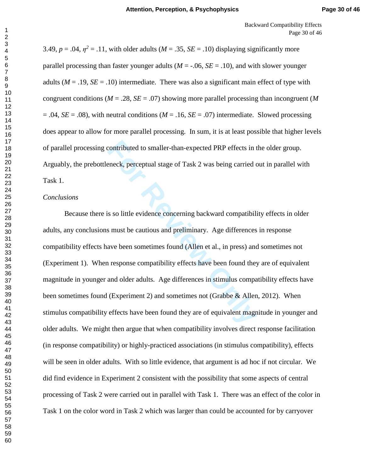Backward Compatibility Effects Page 30 of 46

3.49,  $p = .04$ ,  $\eta^2 = .11$ , with older adults ( $M = .35$ ,  $SE = .10$ ) displaying significantly more parallel processing than faster younger adults  $(M = -0.06, SE = 0.10)$ , and with slower younger adults ( $M = .19$ ,  $SE = .10$ ) intermediate. There was also a significant main effect of type with congruent conditions ( $M = .28$ ,  $SE = .07$ ) showing more parallel processing than incongruent ( $M$  $= .04$ , *SE* = .08), with neutral conditions (*M* = .16, *SE* = .07) intermediate. Slowed processing does appear to allow for more parallel processing. In sum, it is at least possible that higher levels of parallel processing contributed to smaller -than -expected PRP effects in the older group. Arguably, the prebottleneck, perceptual stage of Task 2 was being carried out in parallel with Task 1.

# *Conclusion s*

contributed to smaller-than-expected PRP effects in the<br>
Fineck, perceptual stage of Task 2 was being carried on<br>
Section 2 was being carried to<br>
Section 2 was being carried to<br>
Section 2 was being carried to<br>
Section 2 wa Because there is so little evidence concerning backward compatibility effects in older adults, any conclusions must be cautious and preliminary. Age differences in response compatibility effects have been sometimes found (Allen et al., in press) and sometimes not (Experiment 1). When response compatibility effects have been found they are of equivalent magnitude in younger and older adults. Age differences in stimulus compatibility effects have been sometimes found (Experiment 2) and sometimes not (Grabbe & Allen, 2012). When stimulus compatibility effects have been found they are of equivalent magnitude in younger and older adults. We might then argue that when compatibility involves direct response facilitation (in response compatibility) or highly -practiced associations (in stimulus compatibility), effects will be seen in older adults. With so little evidence, that argument is ad hoc if not circular. We did find evidence in Experiment 2 consistent with the possibility that some aspects of central processing of Task 2 were carried out in parallel with Task 1. There was an effect of the color in Task 1 on the color word in Task 2 which was larger than could be accounted for by carryover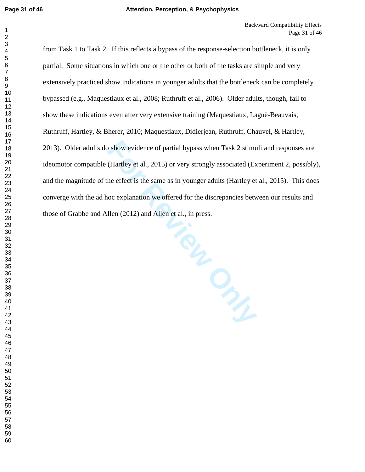#### **Page 31 of 46 Attention, Perception, & Psychophysics**

from Task 1 to Task 2. If this reflects a bypass of the response -selection bottleneck, it is only partial . Some situations in which one or the other or both of the tasks are simple and very extensively practiced show indications in younger adults that the bottleneck can be completely bypassed (e.g., Maquestiaux et al., 2008; Ruthruff et al., 2006). Older adults, though, fail to show these indications even after very extensive training (Maquestiaux, Laguë-Beauvais, Ruthruff, Hartley, & Bherer, 2010; Maquestiaux, Didierjean, Ruthruff, Chauvel, & Hartley, 2013). Older adults do show evidence of partial bypass when Task 2 stimuli and responses are ideomotor compatible (Hartley et al., 2015) or very strongly associated (Experiment 2, possibly), and the magnitude of the effect is the same as in younger adults (Hartley et al., 2015). This does converge with the ad hoc explanation we offered for the discrepancies between our results and those of Grabbe and Allen (2012) and Allen et al., in press.

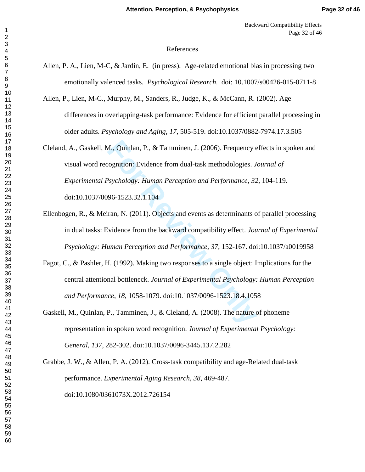Backward Compatibility Effects Page 32 of 46

# References

- Allen, P. A., Lien, M -C, & Jardin, E. (in press). Age -related emotional bias in processing two emotionally valenced tasks. Psychological Research. doi: 10.1007/s00426-015-0711-8
- Allen, P., Lien, M -C., Murphy, M., Sanders, R., Judge, K., & McCann, R. (2002). Age differences in overlapping -task performance: Evidence for efficient parallel processing in older adults. *Psychology and Aging*, *17*, 505 -519. doi:10.1037/0882 -7974.17.3.505
- *A.*, Quinlan, P., & Tamminen, J. (2006). Frequency example of the example of the example of the example of the example of the example of the example of the control of the control of the control of the example of the examp Cleland, A., Gaskell, M., Quinlan, P., & Tamminen, J. (2006). Frequency effects in spoken and visual word recognition: Evidence from dual -task methodologies. *Journal of Experimental Psychology: Human Perception and Performance*, *32*, 104 -119. doi:10.1037/0096 -1523.32.1.104
- Ellenbogen, R., & Meiran, N. (2011). Objects and events as determinants of parallel processing in dual tasks: Evidence from the backward compatibility effect. *Journal of Experimental Psychology: Human Perception and Performance, 37*, 152 -167. doi:10.1037/a0019958
- Fagot, C., & Pashler, H. (1992). Making two responses to a single object: Implications for the central attentional bottleneck. *Journal of Experimental Psychology: Human Perception and Performance*, *18*, 1058 -1079. doi:10.1037/0096 -1523.18.4.1058
- Gaskell, M., Quinlan, P., Tamminen, J., & Cleland, A. (2008). The nature of phoneme representation in spoken word recognition. *Journal of Experimental Psychology: General*, *137*, 282 -302. doi:10.1037/0096 -3445.137.2.282

Grabbe, J. W., & Allen, P. A. (2012). Cross-task compatibility and age-Related dual-task performance. *Experimental Aging Research*, 38, 469-487. doi:10.1080/0361073X.2012.726154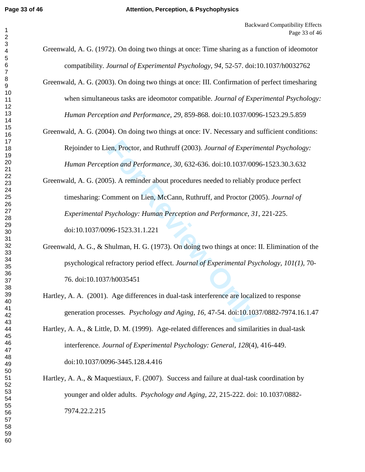$\mathbf 1$ 

#### **Page 33 of 46 Attention, Perception, & Psychophysics**

Greenwald, A. G. (1972). On doing two things at once: Time sharing as a function of ideomotor compatibility. *Journal of Experimental Psychology, 94*, 52 -57. doi:10.1037/h0032762

- Greenwald, A. G. (2003). On doing two things at once: III. Confirmation of perfect timesharing when simultaneous tasks are ideomotor compatible. *Journal of Experimental Psychology:*  Human Perception and Performance, 29, 859-868. doi:10.1037/0096-1523.29.5.859
- Greenwald, A. G. (2004). On doing two things at once: IV. Necessary and sufficient conditions: Rejoinder to Lien, Proctor, and Ruthruff (2003). *Journal of Experimental Psychology: Human Perception and Performance, 30*, 632 -636. doi:10.1037/0096 -1523.30.3.632
- en, Proctor, and Ruthruff (2003). *Journal of Experin*<br> *Formance, 30, 632-636.* doi:10.1037/009<br> **Follow Are Experiment on Lien, McCann, Ruthruff, and Proctor (20**<br> *Posychology: Human Perception and Performance, 31*<br>
96-Greenwald, A. G. (2005). A reminder about procedures needed to reliably produce perfect timesharing: Comment on Lien, McCann, Ruthruff, and Proctor (2005). *Journal of Experimental Psychology: Human Perception and Performance, 31*, 221 -225. doi:10.1037/0096 -1523.31.1.221
- Greenwald, A. G., & Shulman, H. G. (1973). On doing two things at once: II. Elimination of the psychological refractory period effect. *Journal of Experimental Psychology, 101(1),* 70 - 76. doi:10.1037/h0035451
- Hartley, A. A. (2001). Age differences in dual -task interference are localized to response generation processes. *Psychology and Aging, 16,* 47 -54. doi:10.1037/0882 -7974.16.1.47
- Hartley, A. A., & Little, D. M. (1999). Age-related differences and similarities in dual-task interference. *Journal of Experimental Psychology: General*, *128*(4), 416 -449. doi:10.1037/0096 -3445.128.4.416
- Hartley, A. A., & Maquestiaux, F. (2007). Success and failure at dual-task coordination by younger and older adults. *Psychology and Aging, 22,* 215 -222. doi: 10.1037/0882 - 7974.22.2.215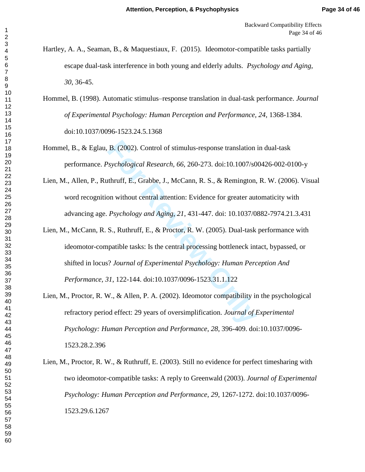- Hartley, A. A., Seaman, B., & Maquestiaux, F. (2015). Ideomotor -compatible tasks partially escape dual-task interference in both young and elderly adults. *Psychology and Aging*, , 36 -45.
- Hommel, B. (1998). Automatic stimulus –response translation in dual -task performance. *Journal of Experimental Psychology: Human Perception and Performance, 24*, 1368 -1384. doi:10.1037/0096 -1523.24.5.1368
- Hommel, B., & Eglau, B. (2002). Control of stimulus-response translation in dual-task performance. *Psychological Research*, 66, 260-273. doi:10.1007/s00426-002-0100-y
- Lien, M., Allen, P., Ruthruff, E., Grabbe, J., McCann, R. S., & Remington, R. W. (2006). Visual word recognition without central attention: Evidence for greater automaticity with advancing age. *Psychology and Aging*, *21*, 431 -447. doi: 10.1037/0882 -7974.21.3.431
- B. (2002). Control of stimulus-response translation<br> *Psychological Research*, 66, 260-273. doi:10.1007/s0<br>
tthruff, E., Grabbe, J., McCann, R. S., & Remington,<br>
on without central attention: Evidence for greater aut<br> *Psy* Lien, M., McCann, R. S., Ruthruff, E., & Proctor, R. W. (2005). Dual-task performance with ideomotor -compatible tasks: Is the central processing bottleneck intact, bypassed, or shifted in locus? *Journal of Experimental Psychology: Human Perception And Performance, 3 1*, 122 -144. doi:10.1037/0096 -1523.31.1.122
- Lien, M., Proctor, R. W., & Allen, P. A. (2002). Ideomotor compatibility in the psychological refractory period effect: 29 years of oversimplification. *Journal of Experimental*  Psychology: Human Perception and Performance, 28, 396-409. doi:10.1037/0096-1523.28.2.396
- Lien, M., Proctor, R. W., & Ruthruff, E. (2003). Still no evidence for perfect timesharing with two ideomotor -compatible tasks: A reply to Greenwald (2003). *Journal of Experimental Psychology: Human Perception and Performance*, *29*, 1267 -1272. doi:10.1037/0096 - 1523.29.6.1267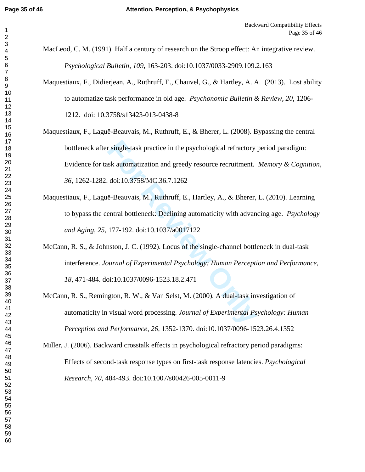$\mathbf 1$ 

MacLeod, C. M. (1991). Half a century of research on the Stroop effect: An integrative review. *Psychological Bulletin*, *109*, 163 -203. doi:10.1037/0033 -2909.109.2.163

Maquestiaux, F., Didierjean, A., Ruthruff, E., Chauvel, G., & Hartley, A. A. (2013). Lost ability to automatize task performance in old age. *Psychonomic Bulletin & Review, 20*, 1206 - 1212. doi: 10.3758/s13423-013-0438-8

r single-task practice in the psychological refractory<br>sk automatization and greedy resource recruitment.<br>doi:10.3758/MC.36.7.1262<br>ë-Beauvais, M., Ruthruff, E., Hartley, A., & Bherer,<br>entral bottleneck: Declining automatic Maquestiaux, F., Laguë -Beauvais, M., Ruthruff, E., & Bherer, L. (2008). Bypassing the central bottleneck after single -task practice in the psychological refractory period paradigm: Evidence for task automatization and greedy resource recruitment. *Memory & Cognition, 36,* 1262 -1282. doi:10.3758/MC.36.7.1262

- Maquestiaux, F., Laguë -Beauvais, M., Ruthruff, E., Hartley, A., & Bherer, L. (2010). Learning to bypass the central bottleneck: Declining automaticity with advancing age. *Psychology and Aging, 25*, 177 -192. doi:10.1037/a0017122
- McCann, R. S., & Johnston, J. C. (1992). Locus of the single-channel bottleneck in dual-task interference. *Journal of Experimental Psychology: Human Perception and Performance*, , 471 -484. doi:10.1037/0096 -1523.18.2.471
- McCann, R. S., Remington, R. W., & Van Selst, M. (2000). A dual-task investigation of automaticity in visual word processing. *Journal of Experimental Psychology: Human Perception and Performance, 26,* 1352 -1370. doi:10.1037/0096 -1523.26.4.1352

Miller, J. (2006). Backward crosstalk effects in psychological refractory period paradigms: Effects of second -task response types on first -task response latencies. *Psychological*  Research, 70, 484-493. doi:10.1007/s00426-005-0011-9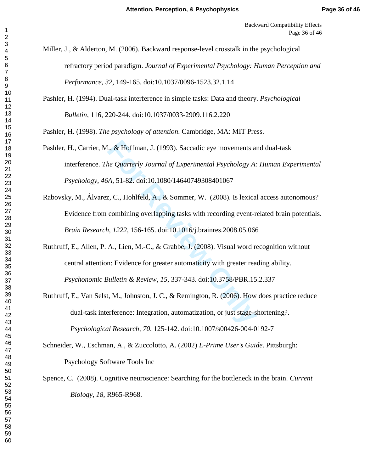Backward Compatibility Effects Page 36 of 46

# Miller, J., & Alderton, M. (2006). Backward response -level crosstalk in the psychological refractory period paradigm. *Journal of Experimental Psychology: Human Perception and*  Performance, 32, 149-165. doi:10.1037/0096-1523.32.1.14

Pashler, H. (1994). Dual-task interference in simple tasks: Data and theory. *Psychological Bulletin*, 116, 220 -244. doi:10.1037/0033 -2909.116.2.220

Pashler, H. (1998). *[The psychology of attention](http://www.amazon.com/exec/obidos/ASIN/026266156X/qid=1023160893/sr=2-1/ref=sr_2_1/002-3255528-7231253)* . Cambridge, MA: MIT Press.

- I., & Hoffman, J. (1993). Saccadic eye movements and<br>
the Quarterly Journal of Experimental Psychology A:<br>  $\hat{A}$ , 51-82. doi:10.1080/14640749308401067<br>
z, C., Hohlfeld, A., & Sommer, W. (2008). Is lexica<br>
combining overl Pashler, H., Carrier, M., & Hoffman, J. (1993). Saccadic eye movements and dual-task interference. *The Quarterly Journal of Experimental Psychology A: Human Experimental Psychology*, *46A*, 51 -82. doi:10.1080/14640749308401067
- Rabovsky, M., Álvarez, C., Hohlfeld, A., & Sommer, W. (2008). Is lexical access autonomous? Evidence from combining overlapping tasks with recording event -related brain potentials. *Brain Research*, *1222*, 156 -165. doi:10.1016/j.brainres.2008.05.066
- Ruthruff, E., Allen, P. A., Lien, M.-C., & Grabbe, J. (2008). Visual word recognition without central attention: Evidence for greater automaticity with greater reading ability. *Psychonomic Bulletin & Review, 15*, 337 -343. doi:10.3758/PBR.15.2.337
- Ruthruff, E., Van Selst, M., Johnston, J. C., & Remington, R. (2006). How does practice reduce dual -task interference: Integration, automatization, or just stage -shortening?. Psychological Research, 70, 125-142. doi:10.1007/s00426-004-0192-7
- Schneider, W., Eschman, A., & Zuccolotto, A. (2002) *E -Prime User's Guide*. Pittsburgh: Psychology Software Tools Inc
- Spence, C. (2008). Cognitive neuroscience: Searching for the bottleneck in the brain. *Current Biology, 18*, R965 -R968.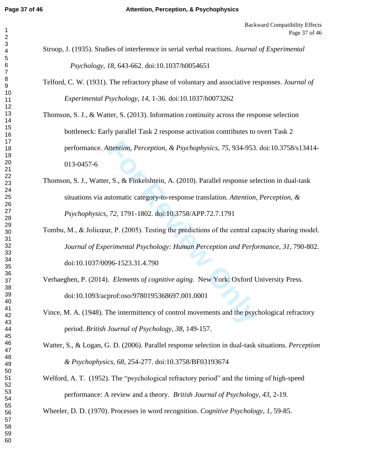$\mathbf 1$  $\overline{2}$ 

Stroop, J. (1935). Studies of interference in serial verbal reactions. *Journal of Experimental Psychology*, *18*, 643 -662. doi:10.1037/h0054651

Telford, C. W. (1931). The refractory phase of voluntary and associative responses. *Journal of Experimental Psychology, 14,*  1 -36. doi:10.1037/h0073262

Thomson, S. J., & Watter, S. (2013). Information continuity across the response selection bottleneck: Early parallel Task 2 response activation contributes to overt Task 2 performance. Attention, Perception, & Psychophysics, 75, 934-953. doi:10.3758/s13414--0457 - 6

- ttention, Perception, & Psychophysics, 75, 934-953.<br> **For Review Confidence** S. S., & Finkelshtein, A. (2010). Parallel response selutomatic category-to-response translation. *Attention*,<br> **For Alternatic category-to-respo** Thomson, S. J., Watter, S., & Finkelshtein, A. (2010). Parallel response selection in dual -task situations via automatic category -to -response translation*. Attention, Perception, & Psychophysics, 72 ,* 1791 -1802. doi:10.3758/APP.72.7.1791
- Tombu, M., & Jolicœur, P. (2005). Testing the predictions of the central capacity sharing model. *Journal of Experimental Psychology: Human Perception and Performance*, *31*, 790 -802. doi:10.1037/0096 -1523.31.4.790
- Verhaeghen, P. (2014). *Elements of cognitive aging*. New York: Oxford University Press. doi:10.1093/acprof:oso/9780195368697.001.0001
- Vince, M. A. (1948). The intermittency of control movements and the psychological refractory period . *British Journal of Psychology, 38*, 149 -157.

Watter, S., & Logan, G. D. (2006). Parallel response selection in dual -task situations. *Perception & Psychophysics, 68*, 254 -277. doi:10.3758/BF03193674

Welford, A. T. (1952). The "psychological refractory period" and the timing of high-speed performance: A review and a theory. *British Journal of Psychology, 43*, 2 -19.

Wheeler, D. D. (1970). [Processes in word recognition.](http://deepblue.lib.umich.edu/handle/2027.42/32833) *Cognitive Psychology*, *1*, 59 -85.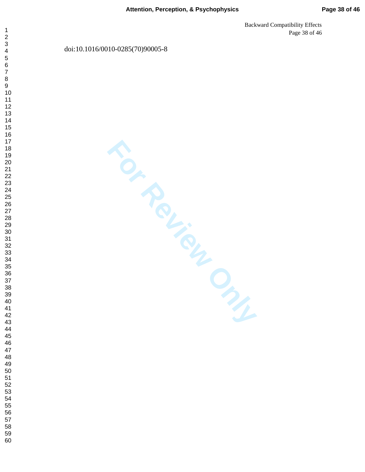Backward Compatibility Effects Page 38 of 46

doi:10.1016/0010 -0285(70)90005 - 8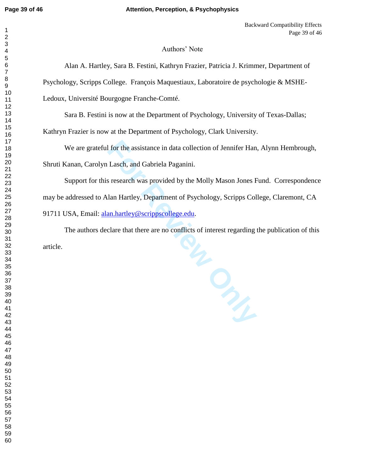$\mathbf 1$  $\overline{2}$ 

# **Page 39 of 46 Attention, Perception, & Psychophysics**

# Authors' Note

Alan A. Hartley, Sara B. Festini, Kathryn Frazier, Patricia J. Krimmer, Department of

Psychology, Scripps College. François Maquestiaux, Laboratoire de psychologie & MSHE -

Ledoux, Université Bourgogne Franche-Comté.

Sara B. Festini is now at the Department of Psychology, University of Texas-Dallas;

Kathryn Frazier is now at the Department of Psychology, Clark University.

We are grateful for the assistance in data collection of Jennifer Han, Alynn Hembrough,

Shruti Kanan, Carolyn Lasch, and Gabriela Paganini.

Support for this research was provided by the Molly Mason Jones Fund. Correspondence may be addressed to Alan Hartley, Department of Psychology, Scripps College, Claremont, CA 91711 USA, Email: alan.hartley@scrippscollege.edu.

The authors declare that there are no conflicts of interest regarding the publication of this article.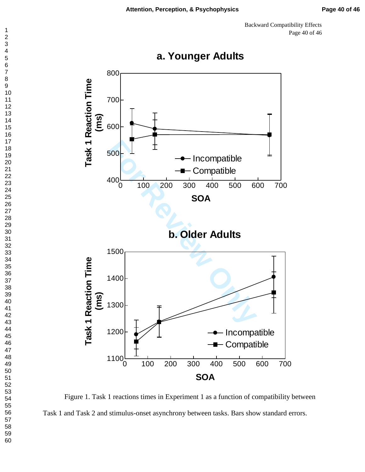Backward Compatibility Effects Page 40 of 46



**a. Younger Adults**

Figure 1. Task 1 reactions times in Experiment 1 as a function of compatibility between Task 1 and Task 2 and stimulus -onset asynchrony between tasks. Bars show standard errors.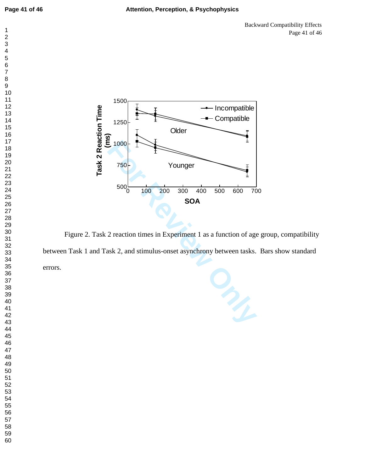$\mathbf 1$  $\overline{c}$  $\overline{3}$  $\overline{\mathbf{4}}$  $\overline{7}$ 



Figure 2. Task 2 reaction times in Experiment 1 as a function of age group, compatibility between Task 1 and Task 2, and stimulus -onset asynchrony between tasks. Bars show standard errors.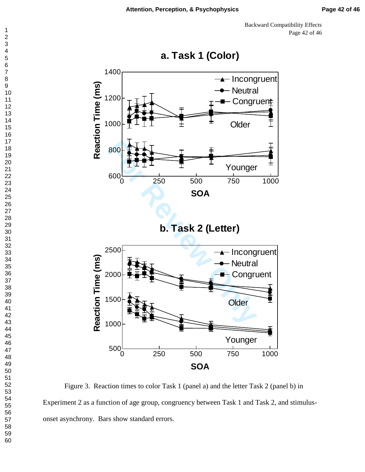Backward Compatibility Effects Page 42 of 46



Figure 3. Reaction times to color Task 1 (panel a) and the letter Task 2 (panel b) in Experiment 2 as a function of age group, congruency between Task 1 and Task 2, and stimulus onset asynchrony. Bars show standard errors.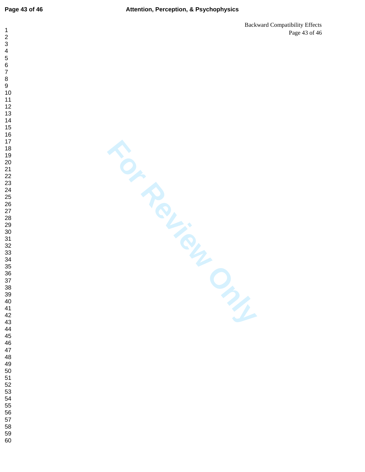$\mathbf{1}$  $\overline{2}$  $\overline{\mathbf{4}}$  $\overline{7}$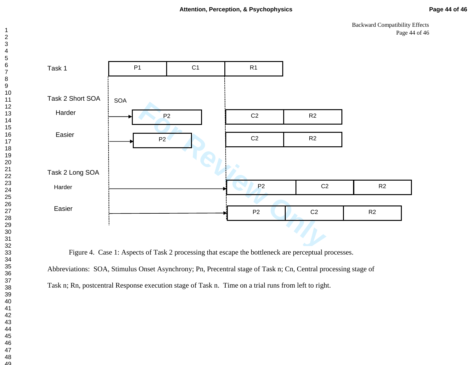Backward Compatibility Effects Page 44 of 46



Figure 4. Case 1: Aspects of Task 2 processing that escape the bottleneck are perceptual processes.

Abbreviations: SOA, Stimulus Onset Asynchrony; Pn, Precentral stage of Task n; Cn, Central processing stage of

Task n; Rn, postcentral Response execution stage of Task n. Time on a trial runs from left to right.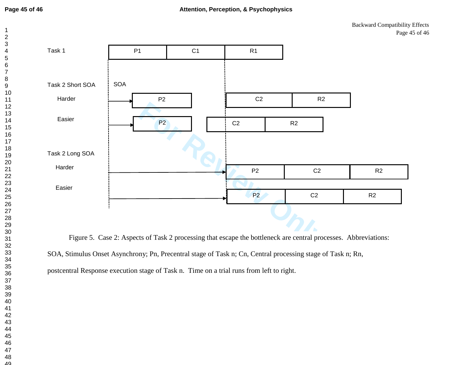# **Page 45 of 46 Attention, Perception, & Psychophysics**



Figure 5. Case 2: Aspects of Task 2 processing that escape the bottleneck are central processes. Abbreviations:

SOA, Stimulus Onset Asynchrony; Pn, Precentral stage of Task n; Cn, Central processing stage of Task n; Rn,

postcentral Response execution stage of Task n. Time on a trial runs from left to right.